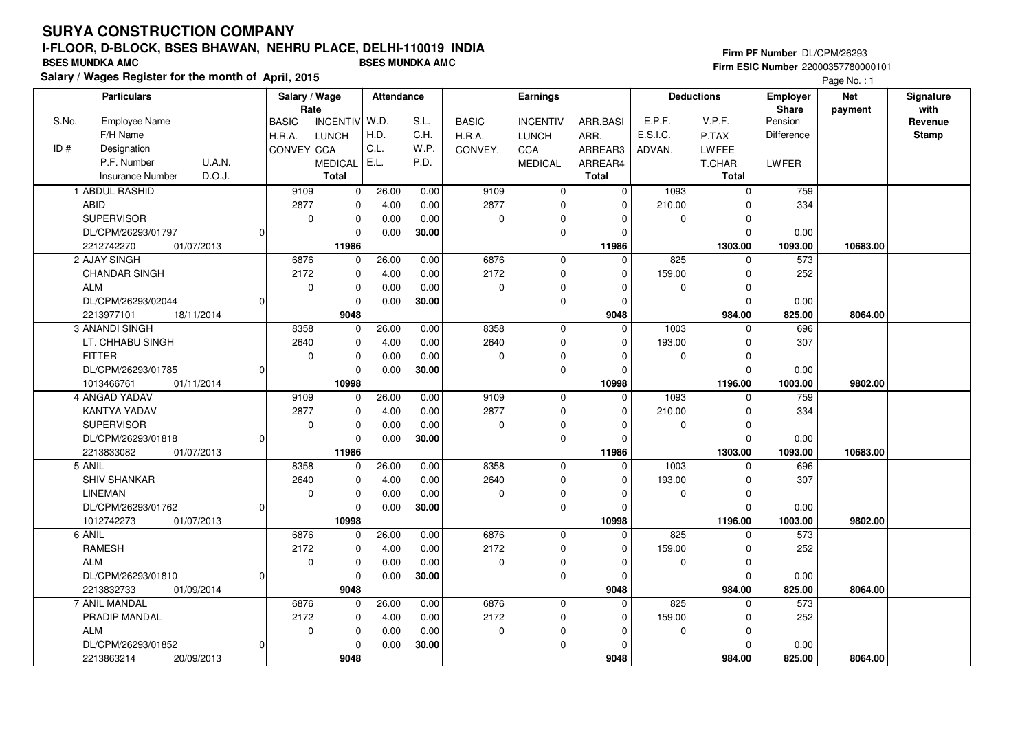#### **Firm PF Number** DL/CPM/26293 **Firm ESIC Number** 22000357780000101

|       | <b>Particulars</b>                |                | Salary / Wage        |                 | Attendance |       |              | Earnings        |                |             | <b>Deductions</b> | <b>Employer</b>         | <b>Net</b> | Signature       |
|-------|-----------------------------------|----------------|----------------------|-----------------|------------|-------|--------------|-----------------|----------------|-------------|-------------------|-------------------------|------------|-----------------|
| S.No. | <b>Employee Name</b>              |                | Rate<br><b>BASIC</b> | <b>INCENTIV</b> | W.D.       | S.L.  | <b>BASIC</b> | <b>INCENTIV</b> | ARR.BASI       | E.P.F.      | V.P.F.            | <b>Share</b><br>Pension | payment    | with<br>Revenue |
|       | F/H Name                          |                | H.R.A.               | <b>LUNCH</b>    | H.D.       | C.H.  | H.R.A.       | <b>LUNCH</b>    | ARR.           | E.S.I.C.    | P.TAX             | Difference              |            | <b>Stamp</b>    |
| ID#   | Designation                       |                | CONVEY CCA           |                 | C.L.       | W.P.  | CONVEY.      | CCA             | ARREAR3        | ADVAN.      | <b>LWFEE</b>      |                         |            |                 |
|       | P.F. Number<br>U.A.N.             |                |                      | <b>MEDICAL</b>  | E.L.       | P.D.  |              | <b>MEDICAL</b>  | ARREAR4        |             | T.CHAR            | LWFER                   |            |                 |
|       | D.O.J.<br><b>Insurance Number</b> |                |                      | <b>Total</b>    |            |       |              |                 | Total          |             | <b>Total</b>      |                         |            |                 |
|       | 1 ABDUL RASHID                    |                | 9109                 | 0               | 26.00      | 0.00  | 9109         | $\mathbf 0$     | 0              | 1093        | $\Omega$          | 759                     |            |                 |
|       | <b>ABID</b>                       |                | 2877                 | 0               | 4.00       | 0.00  | 2877         | 0               | $\mathbf 0$    | 210.00      | $\Omega$          | 334                     |            |                 |
|       | <b>SUPERVISOR</b>                 |                | $\mathbf 0$          | 0               | 0.00       | 0.00  | $\mathbf 0$  | $\Omega$        | $\overline{0}$ | $\mathbf 0$ | $\Omega$          |                         |            |                 |
|       | DL/CPM/26293/01797                | ŋ              |                      | $\Omega$        | 0.00       | 30.00 |              | 0               | $\Omega$       |             | $\Omega$          | 0.00                    |            |                 |
|       | 2212742270<br>01/07/2013          |                |                      | 11986           |            |       |              |                 | 11986          |             | 1303.00           | 1093.00                 | 10683.00   |                 |
|       | 2 AJAY SINGH                      |                | 6876                 | $\overline{0}$  | 26.00      | 0.00  | 6876         | $\mathbf 0$     | $\mathbf 0$    | 825         | $\mathbf 0$       | 573                     |            |                 |
|       | <b>CHANDAR SINGH</b>              |                | 2172                 | 0               | 4.00       | 0.00  | 2172         | 0               | $\Omega$       | 159.00      | $\Omega$          | 252                     |            |                 |
|       | <b>ALM</b>                        |                | $\mathbf 0$          | 0               | 0.00       | 0.00  | 0            | 0               | $\Omega$       | $\mathbf 0$ | $\Omega$          |                         |            |                 |
|       | DL/CPM/26293/02044                | $\Omega$       |                      | 0               | 0.00       | 30.00 |              | 0               | $\overline{0}$ |             | $\Omega$          | 0.00                    |            |                 |
|       | 2213977101<br>18/11/2014          |                |                      | 9048            |            |       |              |                 | 9048           |             | 984.00            | 825.00                  | 8064.00    |                 |
|       | 3 ANANDI SINGH                    |                | 8358                 | 0               | 26.00      | 0.00  | 8358         | 0               | $\mathbf 0$    | 1003        | $\Omega$          | 696                     |            |                 |
|       | LT. CHHABU SINGH                  |                | 2640                 | 0               | 4.00       | 0.00  | 2640         | 0               | $\Omega$       | 193.00      | $\Omega$          | 307                     |            |                 |
|       | <b>FITTER</b>                     |                | $\mathbf 0$          | 0               | 0.00       | 0.00  | $\Omega$     | 0               | $\Omega$       | $\Omega$    | $\mathbf 0$       |                         |            |                 |
|       | DL/CPM/26293/01785                | $\Omega$       |                      | 0               | 0.00       | 30.00 |              | 0               | $\Omega$       |             | $\Omega$          | 0.00                    |            |                 |
|       | 1013466761<br>01/11/2014          |                |                      | 10998           |            |       |              |                 | 10998          |             | 1196.00           | 1003.00                 | 9802.00    |                 |
|       | 4 ANGAD YADAV                     |                | 9109                 | 0               | 26.00      | 0.00  | 9109         | 0               | $\Omega$       | 1093        | $\Omega$          | 759                     |            |                 |
|       | <b>KANTYA YADAV</b>               |                | 2877                 | 0               | 4.00       | 0.00  | 2877         | 0               | $\Omega$       | 210.00      | $\Omega$          | 334                     |            |                 |
|       | <b>SUPERVISOR</b>                 |                | $\mathbf 0$          | 0               | 0.00       | 0.00  | 0            | 0               | $\Omega$       | $\mathbf 0$ | $\Omega$          |                         |            |                 |
|       | DL/CPM/26293/01818                | $\Omega$       |                      | $\Omega$        | 0.00       | 30.00 |              | 0               | $\Omega$       |             | $\Omega$          | 0.00                    |            |                 |
|       | 2213833082<br>01/07/2013          |                |                      | 11986           |            |       |              |                 | 11986          |             | 1303.00           | 1093.00                 | 10683.00   |                 |
|       | 5 ANIL                            |                | 8358                 | $\mathbf{0}$    | 26.00      | 0.00  | 8358         | 0               | $\Omega$       | 1003        | $\Omega$          | 696                     |            |                 |
|       | <b>SHIV SHANKAR</b>               |                | 2640                 | 0               | 4.00       | 0.00  | 2640         | 0               | $\Omega$       | 193.00      | $\Omega$          | 307                     |            |                 |
|       | <b>LINEMAN</b>                    |                | $\mathbf 0$          | 0               | 0.00       | 0.00  | $\mathbf 0$  | 0               | $\mathbf 0$    | $\mathbf 0$ | 0                 |                         |            |                 |
|       | DL/CPM/26293/01762                | $\overline{0}$ |                      | $\Omega$        | 0.00       | 30.00 |              | 0               | $\Omega$       |             | $\Omega$          | 0.00                    |            |                 |
|       | 1012742273<br>01/07/2013          |                |                      | 10998           |            |       |              |                 | 10998          |             | 1196.00           | 1003.00                 | 9802.00    |                 |
|       | 6 ANIL                            |                | 6876                 | 0               | 26.00      | 0.00  | 6876         | $\mathbf 0$     | $\Omega$       | 825         | $\Omega$          | 573                     |            |                 |
|       | <b>RAMESH</b>                     |                | 2172                 | 0               | 4.00       | 0.00  | 2172         | $\mathbf 0$     | $\Omega$       | 159.00      | $\Omega$          | 252                     |            |                 |
|       | <b>ALM</b>                        |                | $\mathbf 0$          | 0               | 0.00       | 0.00  | 0            | 0               | $\mathbf 0$    | $\mathbf 0$ | $\mathbf 0$       |                         |            |                 |
|       | DL/CPM/26293/01810                | $\Omega$       |                      | 0               | 0.00       | 30.00 |              | 0               | $\overline{0}$ |             | $\Omega$          | 0.00                    |            |                 |
|       | 2213832733<br>01/09/2014          |                |                      | 9048            |            |       |              |                 | 9048           |             | 984.00            | 825.00                  | 8064.00    |                 |
|       | 7 ANIL MANDAL                     |                | 6876                 | $\Omega$        | 26.00      | 0.00  | 6876         | $\mathbf 0$     | $\Omega$       | 825         | $\Omega$          | 573                     |            |                 |
|       | PRADIP MANDAL                     |                | 2172                 | 0               | 4.00       | 0.00  | 2172         | 0               | $\mathbf 0$    | 159.00      | $\Omega$          | 252                     |            |                 |
|       | <b>ALM</b>                        |                | $\mathbf 0$          | 0               | 0.00       | 0.00  | $\Omega$     | $\Omega$        | $\Omega$       | $\mathbf 0$ | $\Omega$          |                         |            |                 |
|       | DL/CPM/26293/01852                | $\Omega$       |                      | 0               | 0.00       | 30.00 |              | $\Omega$        | $\Omega$       |             | $\Omega$          | 0.00                    |            |                 |
|       | 2213863214<br>20/09/2013          |                |                      | 9048            |            |       |              |                 | 9048           |             | 984.00            | 825.00                  | 8064.00    |                 |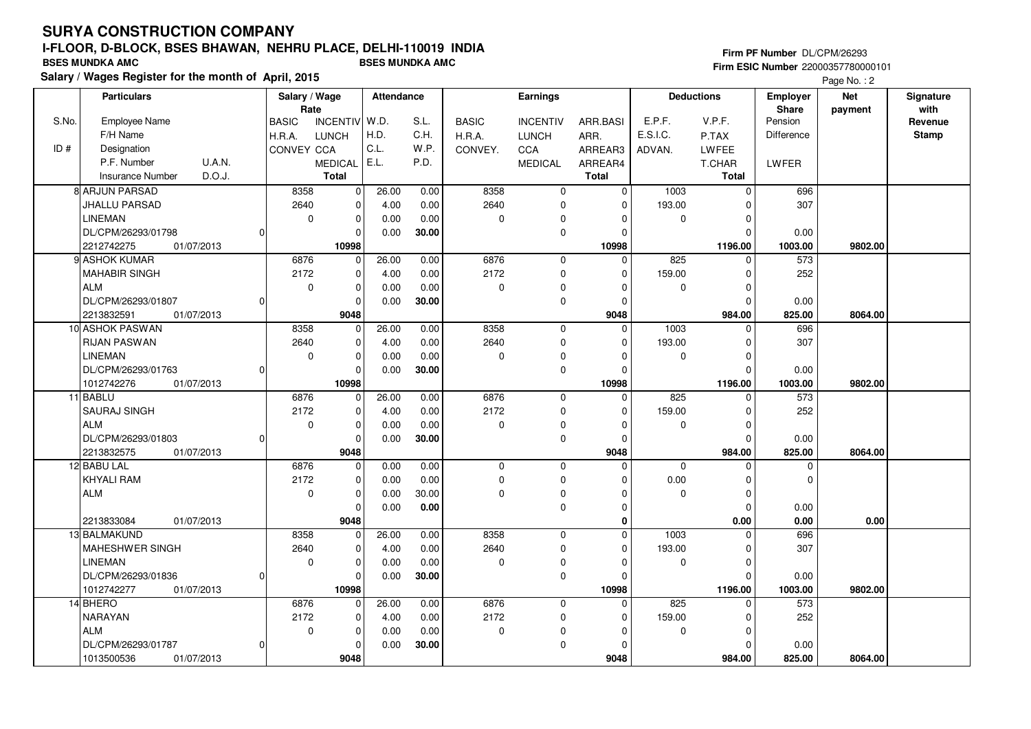#### **Firm PF Number** DL/CPM/26293 **Firm ESIC Number** 22000357780000101

|       | <b>Particulars</b>                | Salary / Wage<br>Rate |                 | Attendance |       |              | <b>Earnings</b> |                |                  | <b>Deductions</b> | <b>Employer</b><br>Share | <b>Net</b> | Signature<br>with |
|-------|-----------------------------------|-----------------------|-----------------|------------|-------|--------------|-----------------|----------------|------------------|-------------------|--------------------------|------------|-------------------|
| S.No. | <b>Employee Name</b>              | <b>BASIC</b>          | <b>INCENTIV</b> | W.D.       | S.L.  | <b>BASIC</b> | <b>INCENTIV</b> | ARR.BASI       | E.P.F.           | V.P.F.            | Pension                  | payment    | Revenue           |
|       | F/H Name                          | H.R.A.                | <b>LUNCH</b>    | H.D.       | C.H.  | H.R.A.       | <b>LUNCH</b>    | ARR.           | E.S.I.C.         | P.TAX             | <b>Difference</b>        |            | <b>Stamp</b>      |
| ID#   | Designation                       | CONVEY CCA            |                 | C.L.       | W.P.  | CONVEY.      | CCA             | ARREAR3        | ADVAN.           | <b>LWFEE</b>      |                          |            |                   |
|       | P.F. Number<br><b>U.A.N.</b>      |                       | <b>MEDICAL</b>  | E.L.       | P.D.  |              | <b>MEDICAL</b>  | ARREAR4        |                  | <b>T.CHAR</b>     | LWFER                    |            |                   |
|       | D.O.J.<br><b>Insurance Number</b> |                       | <b>Total</b>    |            |       |              |                 | <b>Total</b>   |                  | Total             |                          |            |                   |
|       | <b>8 ARJUN PARSAD</b>             | 8358                  | $\mathbf 0$     | 26.00      | 0.00  | 8358         | 0               | $\overline{0}$ | $\frac{1003}{2}$ | $\mathbf 0$       | 696                      |            |                   |
|       | JHALLU PARSAD                     | 2640                  | 0               | 4.00       | 0.00  | 2640         | 0               | $\mathbf 0$    | 193.00           | $\Omega$          | 307                      |            |                   |
|       | <b>LINEMAN</b>                    | $\mathbf 0$           | $\mathbf 0$     | 0.00       | 0.00  | 0            | $\mathbf 0$     | $\Omega$       | 0                | $\Omega$          |                          |            |                   |
|       | DL/CPM/26293/01798                |                       | $\Omega$        | 0.00       | 30.00 |              | $\mathbf 0$     | $\Omega$       |                  | $\Omega$          | 0.00                     |            |                   |
|       | 2212742275<br>01/07/2013          |                       | 10998           |            |       |              |                 | 10998          |                  | 1196.00           | 1003.00                  | 9802.00    |                   |
|       | 9 ASHOK KUMAR                     | 6876                  | $\mathbf 0$     | 26.00      | 0.00  | 6876         | $\mathbf 0$     | $\Omega$       | 825              | $\mathbf 0$       | 573                      |            |                   |
|       | <b>MAHABIR SINGH</b>              | 2172                  | $\mathbf 0$     | 4.00       | 0.00  | 2172         | $\mathbf 0$     | $\mathbf 0$    | 159.00           | $\Omega$          | 252                      |            |                   |
|       | <b>ALM</b>                        | 0                     | $\mathbf 0$     | 0.00       | 0.00  | 0            | $\mathbf 0$     | $\Omega$       | 0                | $\Omega$          |                          |            |                   |
|       | DL/CPM/26293/01807                |                       | $\Omega$        | 0.00       | 30.00 |              | $\pmb{0}$       | $\mathbf 0$    |                  | $\Omega$          | 0.00                     |            |                   |
|       | 2213832591<br>01/07/2013          |                       | 9048            |            |       |              |                 | 9048           |                  | 984.00            | 825.00                   | 8064.00    |                   |
|       | 10 ASHOK PASWAN                   | 8358                  | 0               | 26.00      | 0.00  | 8358         | 0               | 0              | 1003             | $\mathbf 0$       | 696                      |            |                   |
|       | <b>RIJAN PASWAN</b>               | 2640                  | $\Omega$        | 4.00       | 0.00  | 2640         | $\mathbf 0$     | $\Omega$       | 193.00           | $\Omega$          | 307                      |            |                   |
|       | <b>LINEMAN</b>                    | $\mathbf 0$           | $\mathbf 0$     | 0.00       | 0.00  | 0            | $\mathbf 0$     | $\Omega$       | 0                | $\Omega$          |                          |            |                   |
|       | DL/CPM/26293/01763                |                       | $\mathbf 0$     | 0.00       | 30.00 |              | $\mathbf 0$     | $\mathbf 0$    |                  | $\Omega$          | 0.00                     |            |                   |
|       | 1012742276<br>01/07/2013          |                       | 10998           |            |       |              |                 | 10998          |                  | 1196.00           | 1003.00                  | 9802.00    |                   |
|       | 11 BABLU                          | 6876                  | $\Omega$        | 26.00      | 0.00  | 6876         | $\mathbf 0$     | $\Omega$       | 825              | $\Omega$          | 573                      |            |                   |
|       | <b>SAURAJ SINGH</b>               | 2172                  | $\mathbf 0$     | 4.00       | 0.00  | 2172         | $\mathbf 0$     | $\Omega$       | 159.00           | $\mathbf 0$       | 252                      |            |                   |
|       | <b>ALM</b>                        | 0                     | $\mathbf 0$     | 0.00       | 0.00  | 0            | $\pmb{0}$       | $\Omega$       | 0                | $\Omega$          |                          |            |                   |
|       | DL/CPM/26293/01803                |                       | $\mathbf 0$     | 0.00       | 30.00 |              | $\mathbf 0$     | $\Omega$       |                  | $\Omega$          | 0.00                     |            |                   |
|       | 2213832575<br>01/07/2013          |                       | 9048            |            |       |              |                 | 9048           |                  | 984.00            | 825.00                   | 8064.00    |                   |
|       | 12 BABU LAL                       | 6876                  | 0               | 0.00       | 0.00  | 0            | $\mathbf 0$     | $\Omega$       | 0                | $\Omega$          | $\mathbf 0$              |            |                   |
|       | <b>KHYALI RAM</b>                 | 2172                  | $\mathbf 0$     | 0.00       | 0.00  | $\mathbf 0$  | $\mathbf{0}$    | O              | $0.00\,$         | $\Omega$          | $\Omega$                 |            |                   |
|       | <b>ALM</b>                        | $\mathbf 0$           | $\mathbf 0$     | 0.00       | 30.00 | 0            | $\mathbf 0$     | $\Omega$       | 0                | $\mathbf 0$       |                          |            |                   |
|       |                                   |                       | $\Omega$        | 0.00       | 0.00  |              | $\mathbf 0$     | $\Omega$       |                  | $\Omega$          | 0.00                     |            |                   |
|       | 2213833084<br>01/07/2013          |                       | 9048            |            |       |              |                 | 0              |                  | 0.00              | 0.00                     | 0.00       |                   |
|       | 13 BALMAKUND                      | 8358                  | $\Omega$        | 26.00      | 0.00  | 8358         | $\mathbf 0$     | $\Omega$       | 1003             | $\Omega$          | 696                      |            |                   |
|       | <b>MAHESHWER SINGH</b>            | 2640                  | $\mathbf 0$     | 4.00       | 0.00  | 2640         | $\mathbf 0$     | $\Omega$       | 193.00           | $\Omega$          | 307                      |            |                   |
|       | LINEMAN                           | $\mathbf 0$           | $\mathbf 0$     | 0.00       | 0.00  | 0            | 0               | 0              | 0                | $\Omega$          |                          |            |                   |
|       | DL/CPM/26293/01836                |                       | $\Omega$        | 0.00       | 30.00 |              | $\pmb{0}$       | $\Omega$       |                  | $\Omega$          | 0.00                     |            |                   |
|       | 1012742277<br>01/07/2013          |                       | 10998           |            |       |              |                 | 10998          |                  | 1196.00           | 1003.00                  | 9802.00    |                   |
|       | 14 BHERO                          | 6876                  | $\Omega$        | 26.00      | 0.00  | 6876         | $\mathbf 0$     | $\mathbf 0$    | 825              | $\mathbf 0$       | 573                      |            |                   |
|       | NARAYAN                           | 2172                  | $\pmb{0}$       | 4.00       | 0.00  | 2172         | $\pmb{0}$       | $\Omega$       | 159.00           | $\Omega$          | 252                      |            |                   |
|       | <b>ALM</b>                        | 0                     | $\mathbf 0$     | 0.00       | 0.00  | 0            | $\mathbf 0$     | $\Omega$       | 0                | $\Omega$          |                          |            |                   |
|       | DL/CPM/26293/01787                |                       | $\Omega$        | 0.00       | 30.00 |              | $\mathbf 0$     | $\mathbf 0$    |                  | $\Omega$          | 0.00                     |            |                   |
|       | 1013500536<br>01/07/2013          |                       | 9048            |            |       |              |                 | 9048           |                  | 984.00            | 825.00                   | 8064.00    |                   |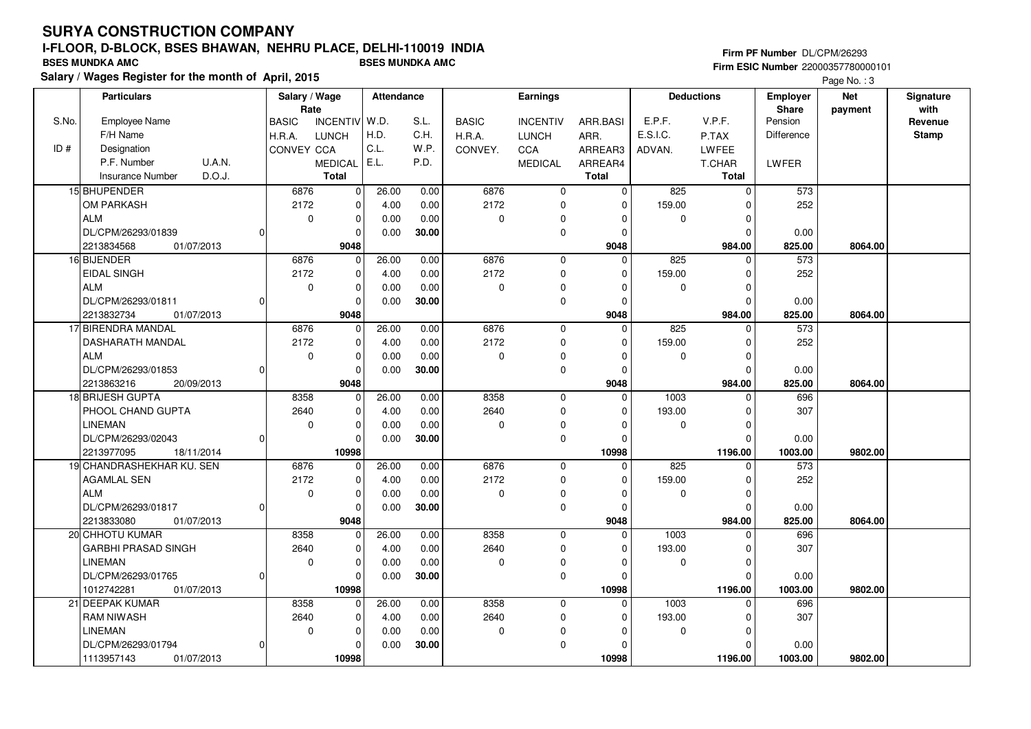#### **Firm PF Number** DL/CPM/26293 **Firm ESIC Number** 22000357780000101

|       | <b>Particulars</b>                |          | Salary / Wage<br>Rate |                 | Attendance |       |              | <b>Earnings</b> |              |          | <b>Deductions</b> | <b>Employer</b><br><b>Share</b> | <b>Net</b><br>payment | Signature<br>with |
|-------|-----------------------------------|----------|-----------------------|-----------------|------------|-------|--------------|-----------------|--------------|----------|-------------------|---------------------------------|-----------------------|-------------------|
| S.No. | Employee Name                     |          | <b>BASIC</b>          | <b>INCENTIV</b> | W.D.       | S.L.  | <b>BASIC</b> | <b>INCENTIV</b> | ARR.BASI     | E.P.F.   | V.P.F.            | Pension                         |                       | Revenue           |
|       | F/H Name                          |          | H.R.A.                | <b>LUNCH</b>    | H.D.       | C.H.  | H.R.A.       | <b>LUNCH</b>    | ARR.         | E.S.I.C. | P.TAX             | Difference                      |                       | <b>Stamp</b>      |
| ID#   | Designation                       |          | CONVEY CCA            |                 | C.L.       | W.P.  | CONVEY.      | CCA             | ARREAR3      | ADVAN.   | LWFEE             |                                 |                       |                   |
|       | U.A.N.<br>P.F. Number             |          |                       | <b>MEDICAL</b>  | E.L.       | P.D.  |              | <b>MEDICAL</b>  | ARREAR4      |          | <b>T.CHAR</b>     | <b>LWFER</b>                    |                       |                   |
|       | D.O.J.<br><b>Insurance Number</b> |          |                       | <b>Total</b>    |            |       |              |                 | <b>Total</b> |          | Total             |                                 |                       |                   |
|       | 15 BHUPENDER                      |          | 6876                  | 0               | 26.00      | 0.00  | 6876         | $\mathbf 0$     | $\mathbf 0$  | 825      | $\mathbf 0$       | 573                             |                       |                   |
|       | <b>OM PARKASH</b>                 |          | 2172                  | 0               | 4.00       | 0.00  | 2172         | $\mathbf 0$     | $\Omega$     | 159.00   | $\Omega$          | 252                             |                       |                   |
|       | ALM                               |          | $\mathbf 0$           | 0               | 0.00       | 0.00  | 0            | $\mathbf 0$     | $\mathbf 0$  | 0        | $\mathbf 0$       |                                 |                       |                   |
|       | DL/CPM/26293/01839                | $\Omega$ |                       | 0               | 0.00       | 30.00 |              | $\pmb{0}$       | $\Omega$     |          | $\Omega$          | 0.00                            |                       |                   |
|       | 01/07/2013<br>2213834568          |          |                       | 9048            |            |       |              |                 | 9048         |          | 984.00            | 825.00                          | 8064.00               |                   |
|       | 16 BIJENDER                       |          | 6876                  | $\mathbf 0$     | 26.00      | 0.00  | 6876         | 0               | $\Omega$     | 825      | 0                 | 573                             |                       |                   |
|       | <b>EIDAL SINGH</b>                |          | 2172                  | $\mathbf 0$     | 4.00       | 0.00  | 2172         | $\pmb{0}$       | $\Omega$     | 159.00   | $\mathbf 0$       | 252                             |                       |                   |
|       | <b>ALM</b>                        |          | $\mathbf 0$           | 0               | 0.00       | 0.00  | 0            | $\mathbf 0$     | $\Omega$     | 0        | $\mathbf 0$       |                                 |                       |                   |
|       | DL/CPM/26293/01811                | 0        |                       | $\mathbf 0$     | 0.00       | 30.00 |              | $\pmb{0}$       | 0            |          | $\mathbf 0$       | 0.00                            |                       |                   |
|       | 2213832734<br>01/07/2013          |          |                       | 9048            |            |       |              |                 | 9048         |          | 984.00            | 825.00                          | 8064.00               |                   |
|       | 17 BIRENDRA MANDAL                |          | 6876                  | $\mathbf 0$     | 26.00      | 0.00  | 6876         | $\mathbf 0$     | $\mathbf 0$  | 825      | $\mathbf 0$       | 573                             |                       |                   |
|       | <b>DASHARATH MANDAL</b>           |          | 2172                  | 0               | 4.00       | 0.00  | 2172         | $\mathbf 0$     | 0            | 159.00   | $\mathbf 0$       | 252                             |                       |                   |
|       | <b>ALM</b>                        |          | $\mathbf 0$           | 0               | 0.00       | 0.00  | 0            | $\mathbf 0$     | $\Omega$     | 0        | $\mathbf 0$       |                                 |                       |                   |
|       | DL/CPM/26293/01853                | 0        |                       | $\mathbf 0$     | 0.00       | 30.00 |              | $\mathbf 0$     | $\Omega$     |          | $\Omega$          | 0.00                            |                       |                   |
|       | 2213863216<br>20/09/2013          |          |                       | 9048            |            |       |              |                 | 9048         |          | 984.00            | 825.00                          | 8064.00               |                   |
|       | 18 BRIJESH GUPTA                  |          | 8358                  | $\mathbf 0$     | 26.00      | 0.00  | 8358         | $\mathbf 0$     | $\Omega$     | 1003     | $\Omega$          | 696                             |                       |                   |
|       | PHOOL CHAND GUPTA                 |          | 2640                  | 0               | 4.00       | 0.00  | 2640         | $\mathbf 0$     | $\Omega$     | 193.00   | $\Omega$          | 307                             |                       |                   |
|       | <b>LINEMAN</b>                    |          | $\mathbf 0$           | 0               | 0.00       | 0.00  | 0            | $\pmb{0}$       | $\Omega$     | 0        | $\mathbf 0$       |                                 |                       |                   |
|       | DL/CPM/26293/02043                | 0l       |                       | $\mathbf 0$     | 0.00       | 30.00 |              | $\mathbf 0$     | $\Omega$     |          | $\Omega$          | 0.00                            |                       |                   |
|       | 2213977095<br>18/11/2014          |          |                       | 10998           |            |       |              |                 | 10998        |          | 1196.00           | 1003.00                         | 9802.00               |                   |
|       | 19 CHANDRASHEKHAR KU. SEN         |          | 6876                  | 0               | 26.00      | 0.00  | 6876         | $\mathbf 0$     | $\mathbf 0$  | 825      | $\Omega$          | 573                             |                       |                   |
|       | <b>AGAMLAL SEN</b>                |          | 2172                  | $\mathbf 0$     | 4.00       | 0.00  | 2172         | $\mathbf 0$     | $\Omega$     | 159.00   | $\mathbf 0$       | 252                             |                       |                   |
|       | <b>ALM</b>                        |          | $\mathbf 0$           | 0               | 0.00       | 0.00  | 0            | $\mathbf 0$     | 0            | 0        | $\mathbf 0$       |                                 |                       |                   |
|       | DL/CPM/26293/01817                | 0l       |                       | 0               | 0.00       | 30.00 |              | $\pmb{0}$       | $\Omega$     |          | $\Omega$          | 0.00                            |                       |                   |
|       | 2213833080<br>01/07/2013          |          |                       | 9048            |            |       |              |                 | 9048         |          | 984.00            | 825.00                          | 8064.00               |                   |
|       | 20 CHHOTU KUMAR                   |          | 8358                  | $\mathbf 0$     | 26.00      | 0.00  | 8358         | $\mathbf 0$     | $\Omega$     | 1003     | $\Omega$          | 696                             |                       |                   |
|       | <b>GARBHI PRASAD SINGH</b>        |          | 2640                  | 0               | 4.00       | 0.00  | 2640         | $\mathbf 0$     | $\Omega$     | 193.00   | $\Omega$          | 307                             |                       |                   |
|       | <b>LINEMAN</b>                    |          | $\mathbf 0$           | 0               | 0.00       | 0.00  | 0            | $\mathbf 0$     | $\Omega$     | 0        | $\Omega$          |                                 |                       |                   |
|       | DL/CPM/26293/01765                | 0l       |                       | 0               | 0.00       | 30.00 |              | $\mathbf 0$     | $\mathbf 0$  |          | $\Omega$          | 0.00                            |                       |                   |
|       | 1012742281<br>01/07/2013          |          |                       | 10998           |            |       |              |                 | 10998        |          | 1196.00           | 1003.00                         | 9802.00               |                   |
|       | 21 DEEPAK KUMAR                   |          | 8358                  | 0               | 26.00      | 0.00  | 8358         | $\mathbf 0$     | 0            | 1003     | $\Omega$          | 696                             |                       |                   |
|       | <b>RAM NIWASH</b>                 |          | 2640                  | 0               | 4.00       | 0.00  | 2640         | 0               | $\mathbf 0$  | 193.00   | $\Omega$          | 307                             |                       |                   |
|       | <b>LINEMAN</b>                    |          | $\mathbf 0$           | 0               | 0.00       | 0.00  | 0            | $\mathbf 0$     | 0            | 0        | 0                 |                                 |                       |                   |
|       | DL/CPM/26293/01794                | $\Omega$ |                       | $\mathbf 0$     | 0.00       | 30.00 |              | $\mathbf 0$     | $\Omega$     |          | $\Omega$          | 0.00                            |                       |                   |
|       | 1113957143<br>01/07/2013          |          |                       | 10998           |            |       |              |                 | 10998        |          | 1196.00           | 1003.00                         | 9802.00               |                   |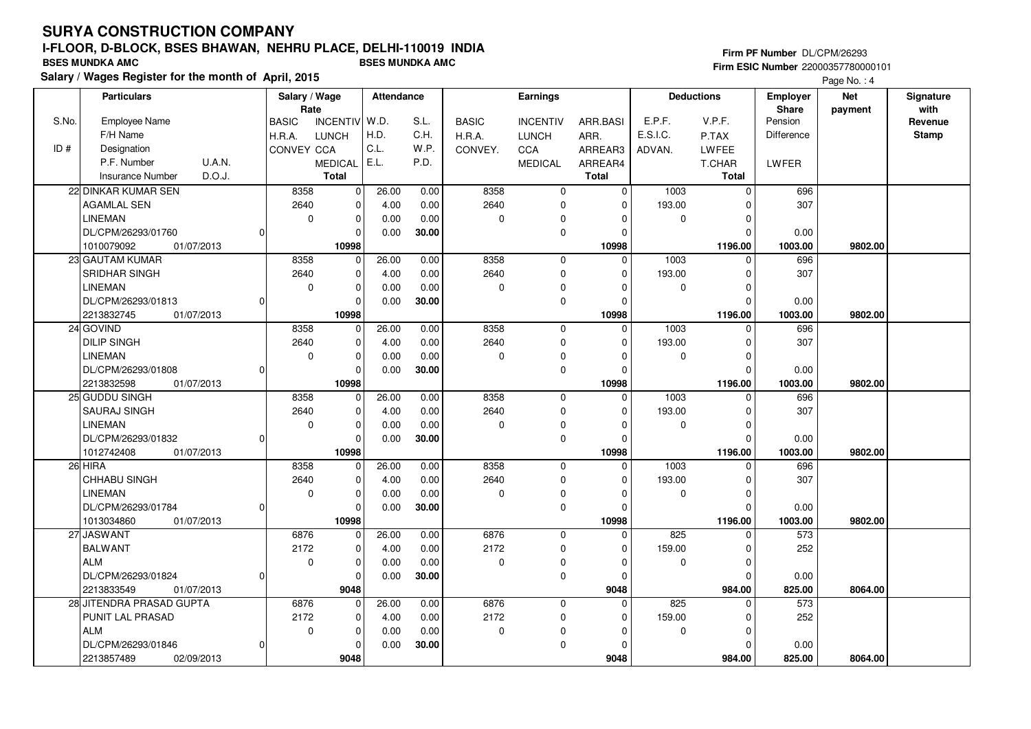#### **Firm PF Number** DL/CPM/26293 **Firm ESIC Number** 22000357780000101

|       | <b>Particulars</b>                |          | Salary / Wage<br>Rate |                 | Attendance |       |              | Earnings        |              |          | <b>Deductions</b> | <b>Employer</b><br><b>Share</b> | <b>Net</b> | Signature<br>with |
|-------|-----------------------------------|----------|-----------------------|-----------------|------------|-------|--------------|-----------------|--------------|----------|-------------------|---------------------------------|------------|-------------------|
| S.No. | Employee Name                     |          | <b>BASIC</b>          | <b>INCENTIV</b> | W.D.       | S.L.  | <b>BASIC</b> | <b>INCENTIV</b> | ARR.BASI     | E.P.F.   | V.P.F.            | Pension                         | payment    | Revenue           |
|       | F/H Name                          |          | H.R.A.                | <b>LUNCH</b>    | H.D.       | C.H.  | H.R.A.       | <b>LUNCH</b>    | ARR.         | E.S.I.C. | P.TAX             | <b>Difference</b>               |            | <b>Stamp</b>      |
| ID#   | Designation                       |          | CONVEY CCA            |                 | C.L.       | W.P.  | CONVEY.      | CCA             | ARREAR3      | ADVAN.   | LWFEE             |                                 |            |                   |
|       | P.F. Number<br>U.A.N.             |          |                       | <b>MEDICAL</b>  | E.L.       | P.D.  |              | <b>MEDICAL</b>  | ARREAR4      |          | T.CHAR            | LWFER                           |            |                   |
|       | D.O.J.<br><b>Insurance Number</b> |          |                       | Total           |            |       |              |                 | <b>Total</b> |          | <b>Total</b>      |                                 |            |                   |
|       | 22 DINKAR KUMAR SEN               |          | 8358                  | 0               | 26.00      | 0.00  | 8358         | 0               | 0            | 1003     | $\mathbf 0$       | 696                             |            |                   |
|       | AGAMLAL SEN                       |          | 2640                  | $\pmb{0}$       | 4.00       | 0.00  | 2640         | $\mathbf 0$     | 0            | 193.00   | 0                 | 307                             |            |                   |
|       | <b>LINEMAN</b>                    |          | $\mathbf 0$           | 0               | 0.00       | 0.00  | 0            | $\pmb{0}$       | $\Omega$     | 0        | $\mathbf 0$       |                                 |            |                   |
|       | DL/CPM/26293/01760                | ŋ        |                       | $\Omega$        | 0.00       | 30.00 |              | $\mathbf 0$     | $\Omega$     |          | $\mathbf 0$       | 0.00                            |            |                   |
|       | 1010079092<br>01/07/2013          |          |                       | 10998           |            |       |              |                 | 10998        |          | 1196.00           | 1003.00                         | 9802.00    |                   |
|       | 23 GAUTAM KUMAR                   |          | 8358                  | $\mathbf 0$     | 26.00      | 0.00  | 8358         | $\mathbf 0$     | $\Omega$     | 1003     | $\mathbf 0$       | 696                             |            |                   |
|       | SRIDHAR SINGH                     |          | 2640                  | $\pmb{0}$       | 4.00       | 0.00  | 2640         | $\mathbf 0$     | $\Omega$     | 193.00   | $\mathbf 0$       | 307                             |            |                   |
|       | LINEMAN                           |          | $\mathbf 0$           | $\mathbf 0$     | 0.00       | 0.00  | 0            | 0               | $\Omega$     | 0        | $\Omega$          |                                 |            |                   |
|       | DL/CPM/26293/01813                | $\Omega$ |                       | $\Omega$        | 0.00       | 30.00 |              | $\pmb{0}$       | $\Omega$     |          | $\Omega$          | 0.00                            |            |                   |
|       | 2213832745<br>01/07/2013          |          |                       | 10998           |            |       |              |                 | 10998        |          | 1196.00           | 1003.00                         | 9802.00    |                   |
|       | 24 GOVIND                         |          | 8358                  | $\mathbf 0$     | 26.00      | 0.00  | 8358         | $\mathbf 0$     | 0            | 1003     | 0                 | 696                             |            |                   |
|       | <b>DILIP SINGH</b>                |          | 2640                  | 0               | 4.00       | 0.00  | 2640         | 0               | $\Omega$     | 193.00   | $\Omega$          | 307                             |            |                   |
|       | <b>LINEMAN</b>                    |          | $\mathbf 0$           | $\mathbf 0$     | 0.00       | 0.00  | 0            | 0               | $\Omega$     | 0        | $\mathbf 0$       |                                 |            |                   |
|       | DL/CPM/26293/01808                | 0        |                       | $\Omega$        | 0.00       | 30.00 |              | $\mathbf 0$     | $\Omega$     |          | $\Omega$          | 0.00                            |            |                   |
|       | 2213832598<br>01/07/2013          |          |                       | 10998           |            |       |              |                 | 10998        |          | 1196.00           | 1003.00                         | 9802.00    |                   |
|       | 25 GUDDU SINGH                    |          | 8358                  | $\Omega$        | 26.00      | 0.00  | 8358         | $\mathbf 0$     | $\Omega$     | 1003     | $\Omega$          | 696                             |            |                   |
|       | <b>SAURAJ SINGH</b>               |          | 2640                  | 0               | 4.00       | 0.00  | 2640         | $\mathbf 0$     | $\Omega$     | 193.00   | $\mathbf 0$       | 307                             |            |                   |
|       | <b>LINEMAN</b>                    |          | $\mathbf 0$           | $\mathbf 0$     | 0.00       | 0.00  | $\mathbf 0$  | 0               | 0            | 0        | $\Omega$          |                                 |            |                   |
|       | DL/CPM/26293/01832                | $\Omega$ |                       | $\mathbf 0$     | 0.00       | 30.00 |              | $\mathbf 0$     | $\Omega$     |          | $\Omega$          | 0.00                            |            |                   |
|       | 1012742408<br>01/07/2013          |          |                       | 10998           |            |       |              |                 | 10998        |          | 1196.00           | 1003.00                         | 9802.00    |                   |
|       | $26$ HIRA                         |          | 8358                  | 0               | 26.00      | 0.00  | 8358         | $\mathbf 0$     | 0            | 1003     | $\Omega$          | 696                             |            |                   |
|       | <b>CHHABU SINGH</b>               |          | 2640                  | $\mathbf 0$     | 4.00       | 0.00  | 2640         | $\mathbf 0$     | $\Omega$     | 193.00   | $\Omega$          | 307                             |            |                   |
|       | <b>LINEMAN</b>                    |          | $\mathbf 0$           | $\mathbf 0$     | 0.00       | 0.00  | 0            | 0               | $\Omega$     | 0        | $\mathbf 0$       |                                 |            |                   |
|       | DL/CPM/26293/01784                | $\Omega$ |                       | $\mathbf 0$     | 0.00       | 30.00 |              | $\pmb{0}$       | $\Omega$     |          | $\Omega$          | 0.00                            |            |                   |
|       | 01/07/2013<br>1013034860          |          |                       | 10998           |            |       |              |                 | 10998        |          | 1196.00           | 1003.00                         | 9802.00    |                   |
|       | 27 JASWANT                        |          | 6876                  | 0               | 26.00      | 0.00  | 6876         | $\mathbf 0$     | 0            | 825      | $\Omega$          | 573                             |            |                   |
|       | <b>BALWANT</b>                    |          | 2172                  | 0               | 4.00       | 0.00  | 2172         | $\mathbf 0$     | $\Omega$     | 159.00   | $\Omega$          | 252                             |            |                   |
|       | <b>ALM</b>                        |          | $\mathbf 0$           | $\pmb{0}$       | 0.00       | 0.00  | 0            | 0               | 0            | 0        | 0                 |                                 |            |                   |
|       | DL/CPM/26293/01824                | $\Omega$ |                       | $\Omega$        | 0.00       | 30.00 |              | $\pmb{0}$       | $\Omega$     |          | $\Omega$          | 0.00                            |            |                   |
|       | 2213833549<br>01/07/2013          |          |                       | 9048            |            |       |              |                 | 9048         |          | 984.00            | 825.00                          | 8064.00    |                   |
|       | 28 JITENDRA PRASAD GUPTA          |          | 6876                  | $\Omega$        | 26.00      | 0.00  | 6876         | $\mathbf 0$     | 0            | 825      | 0                 | 573                             |            |                   |
|       | PUNIT LAL PRASAD                  |          | 2172                  | $\pmb{0}$       | 4.00       | 0.00  | 2172         | $\pmb{0}$       | $\Omega$     | 159.00   | 0                 | 252                             |            |                   |
|       | <b>ALM</b>                        |          | $\pmb{0}$             | $\mathbf 0$     | 0.00       | 0.00  | 0            | 0               | 0            | 0        | $\mathbf 0$       |                                 |            |                   |
|       | DL/CPM/26293/01846                | $\Omega$ |                       | $\mathbf 0$     | 0.00       | 30.00 |              | $\mathbf 0$     | $\Omega$     |          | $\Omega$          | 0.00                            |            |                   |
|       | 2213857489<br>02/09/2013          |          |                       | 9048            |            |       |              |                 | 9048         |          | 984.00            | 825.00                          | 8064.00    |                   |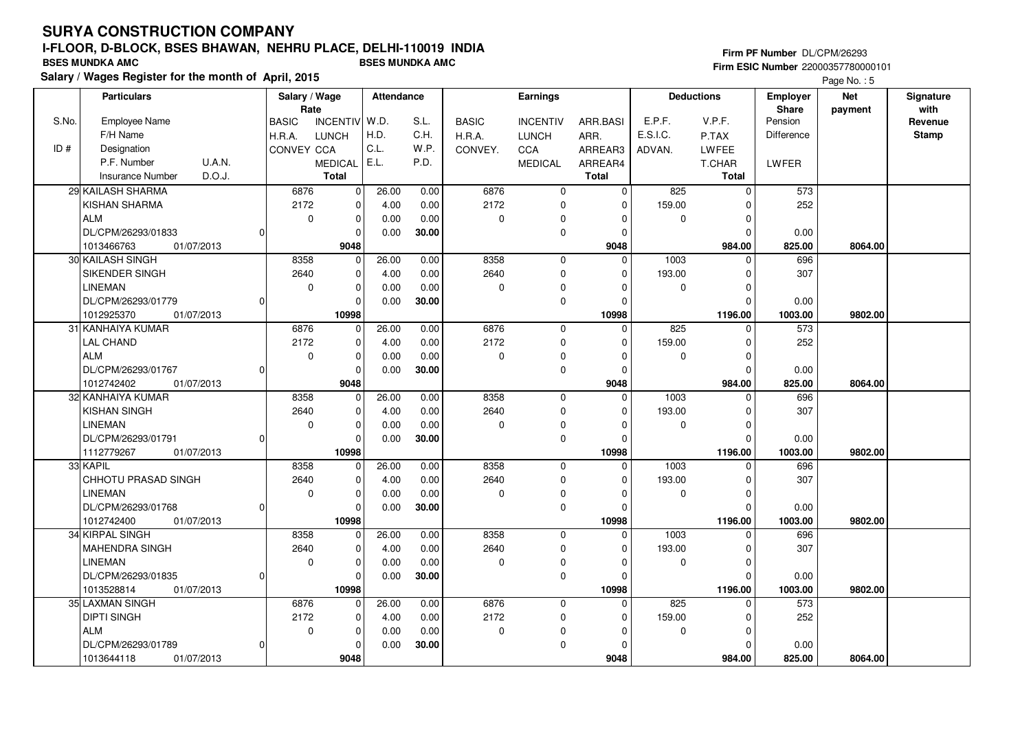#### **Firm PF Number** DL/CPM/26293 **Firm ESIC Number** 22000357780000101

|       | <b>Particulars</b>                |          | Salary / Wage<br>Rate |                 | <b>Attendance</b> |       |              | <b>Earnings</b> |              |             | <b>Deductions</b> | <b>Employer</b><br><b>Share</b> | <b>Net</b> | Signature<br>with |
|-------|-----------------------------------|----------|-----------------------|-----------------|-------------------|-------|--------------|-----------------|--------------|-------------|-------------------|---------------------------------|------------|-------------------|
| S.No. | Employee Name                     |          | <b>BASIC</b>          | <b>INCENTIV</b> | W.D.              | S.L.  | <b>BASIC</b> | <b>INCENTIV</b> | ARR.BASI     | E.P.F.      | V.P.F.            | Pension                         | payment    | Revenue           |
|       | F/H Name                          |          | H.R.A.                | <b>LUNCH</b>    | H.D.              | C.H.  | H.R.A.       | <b>LUNCH</b>    | ARR.         | E.S.I.C.    | P.TAX             | <b>Difference</b>               |            | <b>Stamp</b>      |
| ID#   | Designation                       |          | CONVEY CCA            |                 | C.L.              | W.P.  | CONVEY.      | CCA             | ARREAR3      | ADVAN.      | LWFEE             |                                 |            |                   |
|       | P.F. Number<br><b>U.A.N.</b>      |          |                       | <b>MEDICAL</b>  | E.L.              | P.D.  |              | <b>MEDICAL</b>  | ARREAR4      |             | T.CHAR            | LWFER                           |            |                   |
|       | D.O.J.<br><b>Insurance Number</b> |          |                       | <b>Total</b>    |                   |       |              |                 | <b>Total</b> |             | <b>Total</b>      |                                 |            |                   |
|       | 29 KAILASH SHARMA                 |          | 6876                  | 0               | 26.00             | 0.00  | 6876         | 0               | $\mathbf 0$  | 825         | $\mathbf 0$       | 573                             |            |                   |
|       | <b>KISHAN SHARMA</b>              |          | 2172                  | $\mathbf 0$     | 4.00              | 0.00  | 2172         | $\mathbf 0$     | $\Omega$     | 159.00      | $\mathbf 0$       | 252                             |            |                   |
|       | <b>ALM</b>                        |          | $\mathbf 0$           | 0               | 0.00              | 0.00  | $\pmb{0}$    | $\Omega$        | $\Omega$     | $\mathbf 0$ | $\mathbf 0$       |                                 |            |                   |
|       | DL/CPM/26293/01833                | $\Omega$ |                       | 0               | 0.00              | 30.00 |              | $\mathbf 0$     | $\Omega$     |             | $\mathbf 0$       | 0.00                            |            |                   |
|       | 1013466763<br>01/07/2013          |          |                       | 9048            |                   |       |              |                 | 9048         |             | 984.00            | 825.00                          | 8064.00    |                   |
|       | 30 KAILASH SINGH                  |          | 8358                  | $\mathbf 0$     | 26.00             | 0.00  | 8358         | 0               | $\Omega$     | 1003        | $\mathbf 0$       | 696                             |            |                   |
|       | SIKENDER SINGH                    |          | 2640                  | $\mathbf 0$     | 4.00              | 0.00  | 2640         | $\mathbf 0$     | $\Omega$     | 193.00      | 0                 | 307                             |            |                   |
|       | <b>LINEMAN</b>                    |          | 0                     | 0               | 0.00              | 0.00  | 0            | $\Omega$        | $\Omega$     | 0           | $\mathbf 0$       |                                 |            |                   |
|       | DL/CPM/26293/01779                | 0        |                       | $\mathbf 0$     | 0.00              | 30.00 |              | $\mathbf 0$     | $\Omega$     |             | $\Omega$          | 0.00                            |            |                   |
|       | 1012925370<br>01/07/2013          |          |                       | 10998           |                   |       |              |                 | 10998        |             | 1196.00           | 1003.00                         | 9802.00    |                   |
|       | 31 KANHAIYA KUMAR                 |          | 6876                  | $\mathbf{0}$    | 26.00             | 0.00  | 6876         | $\mathbf 0$     | $\Omega$     | 825         | $\mathbf 0$       | $\frac{1}{573}$                 |            |                   |
|       | <b>LAL CHAND</b>                  |          | 2172                  | 0               | 4.00              | 0.00  | 2172         | $\mathbf 0$     | $\Omega$     | 159.00      | $\mathbf 0$       | 252                             |            |                   |
|       | <b>ALM</b>                        |          | $\mathbf 0$           | 0               | 0.00              | 0.00  | 0            | 0               | $\Omega$     | 0           | $\mathbf 0$       |                                 |            |                   |
|       | DL/CPM/26293/01767                | $\Omega$ |                       | 0               | 0.00              | 30.00 |              | $\mathbf 0$     | $\Omega$     |             | $\Omega$          | 0.00                            |            |                   |
|       | 01/07/2013<br>1012742402          |          |                       | 9048            |                   |       |              |                 | 9048         |             | 984.00            | 825.00                          | 8064.00    |                   |
|       | 32 KANHAIYA KUMAR                 |          | 8358                  | 0               | 26.00             | 0.00  | 8358         | 0               | $\Omega$     | 1003        | $\mathbf 0$       | 696                             |            |                   |
|       | <b>KISHAN SINGH</b>               |          | 2640                  | $\mathbf{0}$    | 4.00              | 0.00  | 2640         | $\mathbf 0$     | $\Omega$     | 193.00      | $\Omega$          | 307                             |            |                   |
|       | <b>LINEMAN</b>                    |          | $\mathbf 0$           | $\mathbf 0$     | 0.00              | 0.00  | $\mathbf 0$  | 0               | $\Omega$     | $\Omega$    | $\mathbf 0$       |                                 |            |                   |
|       | DL/CPM/26293/01791                | $\Omega$ |                       | 0               | 0.00              | 30.00 |              | $\mathbf 0$     | $\Omega$     |             | $\mathbf 0$       | 0.00                            |            |                   |
|       | 1112779267<br>01/07/2013          |          |                       | 10998           |                   |       |              |                 | 10998        |             | 1196.00           | 1003.00                         | 9802.00    |                   |
|       | 33 KAPIL                          |          | 8358                  | $\mathbf 0$     | 26.00             | 0.00  | 8358         | $\mathbf 0$     | $\Omega$     | 1003        | $\Omega$          | 696                             |            |                   |
|       | CHHOTU PRASAD SINGH               |          | 2640                  | 0               | 4.00              | 0.00  | 2640         | $\mathbf 0$     | $\Omega$     | 193.00      | $\mathbf 0$       | 307                             |            |                   |
|       | <b>LINEMAN</b>                    |          | 0                     | 0               | 0.00              | 0.00  | 0            | $\Omega$        | $\Omega$     | 0           | $\mathbf 0$       |                                 |            |                   |
|       | DL/CPM/26293/01768                | 0l       |                       | $\overline{0}$  | 0.00              | 30.00 |              | $\mathbf 0$     | $\Omega$     |             | $\Omega$          | 0.00                            |            |                   |
|       | 1012742400<br>01/07/2013          |          |                       | 10998           |                   |       |              |                 | 10998        |             | 1196.00           | 1003.00                         | 9802.00    |                   |
|       | 34 KIRPAL SINGH                   |          | 8358                  | $\mathbf 0$     | 26.00             | 0.00  | 8358         | $\mathbf 0$     | $\mathbf 0$  | 1003        | $\mathbf 0$       | 696                             |            |                   |
|       | <b>MAHENDRA SINGH</b>             |          | 2640                  | $\mathbf 0$     | 4.00              | 0.00  | 2640         | $\mathbf 0$     | $\Omega$     | 193.00      | $\mathbf 0$       | 307                             |            |                   |
|       | <b>LINEMAN</b>                    |          | $\mathbf 0$           | $\mathbf 0$     | 0.00              | 0.00  | 0            | 0               | $\Omega$     | 0           | $\mathbf 0$       |                                 |            |                   |
|       | DL/CPM/26293/01835                | 0        |                       | 0               | 0.00              | 30.00 |              | $\mathbf 0$     | $\Omega$     |             | $\mathbf 0$       | 0.00                            |            |                   |
|       | 1013528814<br>01/07/2013          |          |                       | 10998           |                   |       |              |                 | 10998        |             | 1196.00           | 1003.00                         | 9802.00    |                   |
|       | 35 LAXMAN SINGH                   |          | 6876                  | $\overline{0}$  | 26.00             | 0.00  | 6876         | $\mathbf 0$     | $\Omega$     | 825         | $\mathbf 0$       | 573                             |            |                   |
|       | <b>DIPTI SINGH</b>                |          | 2172                  | $\mathbf 0$     | 4.00              | 0.00  | 2172         | 0               | 0            | 159.00      | 0                 | 252                             |            |                   |
|       | <b>ALM</b>                        |          | $\mathbf 0$           | $\mathbf 0$     | 0.00              | 0.00  | $\mathbf 0$  | $\Omega$        | $\Omega$     | 0           | $\mathbf 0$       |                                 |            |                   |
|       | DL/CPM/26293/01789                | $\Omega$ |                       | 0               | 0.00              | 30.00 |              | $\Omega$        | $\Omega$     |             | $\Omega$          | 0.00                            |            |                   |
|       | 01/07/2013<br>1013644118          |          |                       | 9048            |                   |       |              |                 | 9048         |             | 984.00            | 825.00                          | 8064.00    |                   |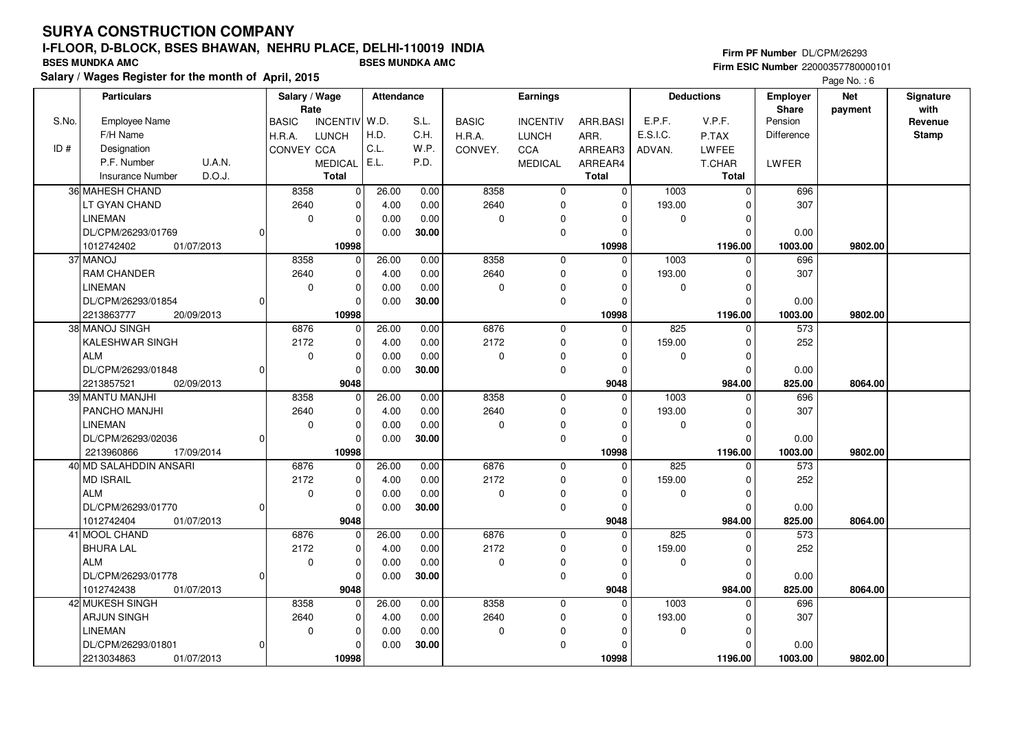#### **Firm PF Number** DL/CPM/26293 **Firm ESIC Number** 22000357780000101

|       | <b>Particulars</b>                         |              | Salary / Wage<br>Rate      | Attendance |       |              | <b>Earnings</b> |                      |          | <b>Deductions</b> | <b>Employer</b><br>Share | <b>Net</b><br>payment | Signature<br>with |
|-------|--------------------------------------------|--------------|----------------------------|------------|-------|--------------|-----------------|----------------------|----------|-------------------|--------------------------|-----------------------|-------------------|
| S.No. | Employee Name                              | <b>BASIC</b> | <b>INCENTIV</b>            | W.D.       | S.L.  | <b>BASIC</b> | <b>INCENTIV</b> | ARR.BASI             | E.P.F.   | V.P.F.            | Pension                  |                       | Revenue           |
|       | F/H Name                                   | H.R.A.       | <b>LUNCH</b>               | H.D.       | C.H.  | H.R.A.       | <b>LUNCH</b>    | ARR.                 | E.S.I.C. | P.TAX             | <b>Difference</b>        |                       | <b>Stamp</b>      |
| ID#   | Designation                                | CONVEY CCA   |                            | C.L.       | W.P.  | CONVEY.      | CCA             | ARREAR3              | ADVAN.   | <b>LWFEE</b>      |                          |                       |                   |
|       | U.A.N.<br>P.F. Number                      |              | <b>MEDICAL</b>             | E.L.       | P.D.  |              | <b>MEDICAL</b>  | ARREAR4              |          | <b>T.CHAR</b>     | LWFER                    |                       |                   |
|       | D.O.J.<br><b>Insurance Number</b>          |              | <b>Total</b>               |            |       |              |                 | <b>Total</b>         |          | Total             |                          |                       |                   |
|       | 36 MAHESH CHAND                            | 8358         | $\mathbf 0$                | 26.00      | 0.00  | 8358         | $\mathbf 0$     | $\overline{0}$       | 1003     | $\mathbf 0$       | 696                      |                       |                   |
|       | LT GYAN CHAND                              | 2640         | $\pmb{0}$                  | 4.00       | 0.00  | 2640         | $\mathbf 0$     | $\mathbf 0$          | 193.00   | $\Omega$          | 307                      |                       |                   |
|       | <b>LINEMAN</b>                             |              | $\pmb{0}$<br>$\mathbf 0$   | 0.00       | 0.00  | 0            | $\pmb{0}$       | $\Omega$             | 0        | $\Omega$          |                          |                       |                   |
|       | DL/CPM/26293/01769                         |              | $\Omega$                   | 0.00       | 30.00 |              | $\mathbf 0$     | $\Omega$             |          | $\Omega$          | 0.00                     |                       |                   |
|       | 1012742402<br>01/07/2013                   |              | 10998                      |            |       |              |                 | 10998                |          | 1196.00           | 1003.00                  | 9802.00               |                   |
|       | 37 MANOJ                                   | 8358         | $\Omega$                   | 26.00      | 0.00  | 8358         | $\mathbf 0$     | $\Omega$             | 1003     | $\mathbf 0$       | 696                      |                       |                   |
|       | <b>RAM CHANDER</b>                         | 2640         | $\mathbf 0$                | 4.00       | 0.00  | 2640         | $\mathbf 0$     | $\mathbf 0$          | 193.00   | $\Omega$          | 307                      |                       |                   |
|       | <b>LINEMAN</b>                             |              | $\mathbf 0$                |            |       |              |                 | $\Omega$             |          | $\Omega$          |                          |                       |                   |
|       |                                            |              | 0<br>$\Omega$              | 0.00       | 0.00  | 0            | 0               |                      | 0        |                   |                          |                       |                   |
|       | DL/CPM/26293/01854                         |              |                            | 0.00       | 30.00 |              | $\mathbf 0$     | $\Omega$             |          | $\Omega$          | 0.00                     |                       |                   |
|       | 20/09/2013<br>2213863777<br>38 MANOJ SINGH | 6876         | 10998                      |            |       | 6876         |                 | 10998<br>$\mathbf 0$ | 825      | 1196.00           | 1003.00<br>573           | 9802.00               |                   |
|       |                                            |              | $\mathbf 0$                | 26.00      | 0.00  |              | $\mathbf 0$     |                      |          | $\Omega$          |                          |                       |                   |
|       | KALESHWAR SINGH                            | 2172         | $\mathbf 0$                | 4.00       | 0.00  | 2172         | $\mathbf 0$     | $\mathbf 0$          | 159.00   | $\Omega$          | 252                      |                       |                   |
|       | <b>ALM</b>                                 |              | $\mathbf 0$<br>0           | 0.00       | 0.00  | 0            | $\pmb{0}$       | $\mathbf 0$          | 0        | $\mathbf 0$       |                          |                       |                   |
|       | DL/CPM/26293/01848                         |              | $\Omega$                   | 0.00       | 30.00 |              | $\mathsf 0$     | $\Omega$             |          | $\Omega$          | 0.00                     |                       |                   |
|       | 02/09/2013<br>2213857521                   |              | 9048                       |            |       |              |                 | 9048                 |          | 984.00            | 825.00                   | 8064.00               |                   |
|       | 39 MANTU MANJHI                            | 8358<br>2640 | $\mathbf 0$                | 26.00      | 0.00  | 8358<br>2640 | $\mathbf 0$     | $\mathbf 0$          | 1003     | $\Omega$          | 696                      |                       |                   |
|       | PANCHO MANJHI                              |              | $\pmb{0}$                  | 4.00       | 0.00  |              | 0               | 0                    | 193.00   | $\mathbf 0$       | 307                      |                       |                   |
|       | <b>LINEMAN</b>                             |              | 0<br>$\Omega$              | 0.00       | 0.00  | 0            | $\pmb{0}$       | $\Omega$             | 0        | $\Omega$          |                          |                       |                   |
|       | DL/CPM/26293/02036                         |              | $\mathbf 0$                | 0.00       | 30.00 |              | $\mathbf 0$     | $\Omega$             |          | $\Omega$          | 0.00                     |                       |                   |
|       | 2213960866<br>17/09/2014                   |              | 10998                      |            |       |              |                 | 10998                |          | 1196.00           | 1003.00                  | 9802.00               |                   |
|       | 40 MD SALAHDDIN ANSARI                     | 6876         | $\mathbf 0$                | 26.00      | 0.00  | 6876         | $\mathbf 0$     | $\overline{0}$       | 825      | $\Omega$          | 573                      |                       |                   |
|       | <b>MD ISRAIL</b>                           | 2172         | $\Omega$                   | 4.00       | 0.00  | 2172         | $\mathbf 0$     | $\Omega$             | 159.00   | $\Omega$          | 252                      |                       |                   |
|       | <b>ALM</b>                                 |              | $\mathbf 0$<br>$\mathbf 0$ | 0.00       | 0.00  | 0            | 0               | 0                    | 0        | $\mathbf 0$       |                          |                       |                   |
|       | DL/CPM/26293/01770                         | ŋ            | $\mathbf 0$                | 0.00       | 30.00 |              | $\pmb{0}$       | $\mathbf 0$          |          | $\Omega$          | 0.00                     |                       |                   |
|       | 1012742404<br>01/07/2013                   |              | 9048                       |            |       |              |                 | 9048                 |          | 984.00            | 825.00                   | 8064.00               |                   |
|       | 41 MOOL CHAND                              | 6876         | $\Omega$                   | 26.00      | 0.00  | 6876         | $\mathbf 0$     | $\Omega$             | 825      | $\Omega$          | 573                      |                       |                   |
|       | <b>BHURA LAL</b>                           | 2172         | $\mathbf 0$                | 4.00       | 0.00  | 2172         | $\mathbf 0$     | 0                    | 159.00   | $\Omega$          | 252                      |                       |                   |
|       | <b>ALM</b>                                 |              | $\mathbf 0$<br>$\mathbf 0$ | 0.00       | 0.00  | 0            | 0               | 0                    | 0        | $\Omega$          |                          |                       |                   |
|       | DL/CPM/26293/01778                         |              | $\Omega$                   | 0.00       | 30.00 |              | $\pmb{0}$       | $\Omega$             |          | $\Omega$          | 0.00                     |                       |                   |
|       | 1012742438<br>01/07/2013                   |              | 9048                       |            |       |              |                 | 9048                 |          | 984.00            | 825.00                   | 8064.00               |                   |
|       | 42 MUKESH SINGH                            | 8358         | $\Omega$                   | 26.00      | 0.00  | 8358         | $\mathbf 0$     | $\mathbf 0$          | 1003     | $\Omega$          | 696                      |                       |                   |
|       | <b>ARJUN SINGH</b>                         | 2640         | $\mathbf 0$                | 4.00       | 0.00  | 2640         | $\mathbf 0$     | $\Omega$             | 193.00   | $\Omega$          | 307                      |                       |                   |
|       | <b>LINEMAN</b>                             |              | $\mathbf 0$<br>0           | 0.00       | 0.00  | 0            | $\mathbf 0$     | $\Omega$             | 0        | $\Omega$          |                          |                       |                   |
|       | DL/CPM/26293/01801                         |              | $\Omega$                   | 0.00       | 30.00 |              | $\mathbf 0$     | $\Omega$             |          | $\Omega$          | 0.00                     |                       |                   |
|       | 2213034863<br>01/07/2013                   |              | 10998                      |            |       |              |                 | 10998                |          | 1196.00           | 1003.00                  | 9802.00               |                   |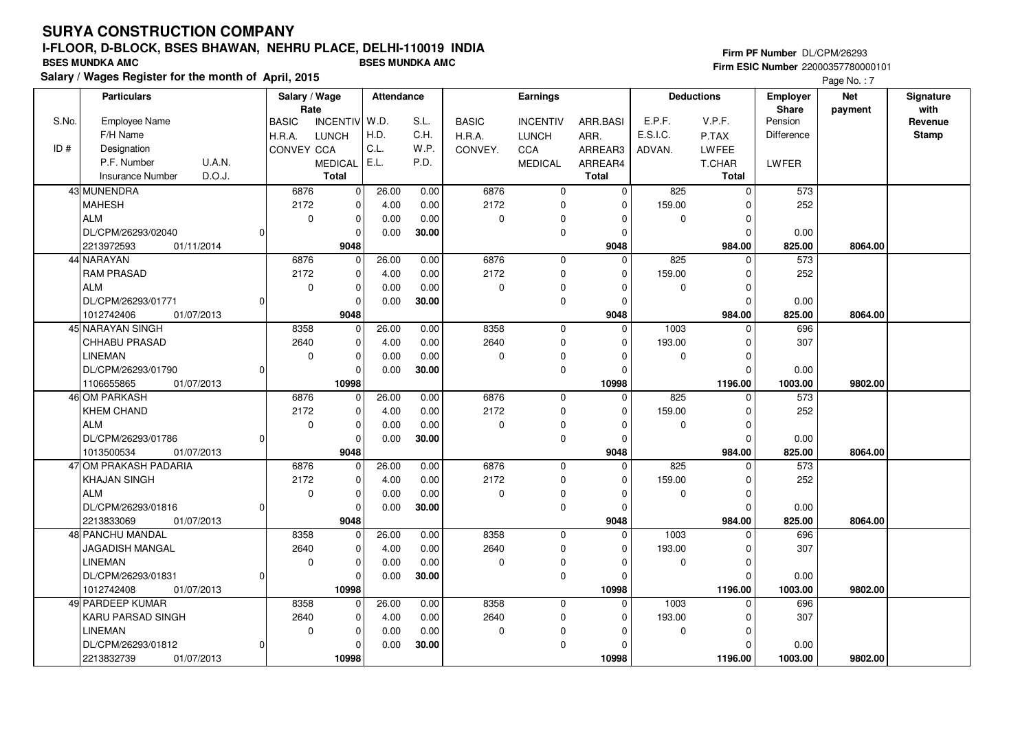#### **Firm PF Number** DL/CPM/26293 **Firm ESIC Number** 22000357780000101

|       | <b>Particulars</b>                |          | Salary / Wage<br>Rate |                 | <b>Attendance</b> |       |              | <b>Earnings</b> |              |          | <b>Deductions</b> | <b>Employer</b><br><b>Share</b> | <b>Net</b> | Signature<br>with |
|-------|-----------------------------------|----------|-----------------------|-----------------|-------------------|-------|--------------|-----------------|--------------|----------|-------------------|---------------------------------|------------|-------------------|
| S.No. | Employee Name                     |          | <b>BASIC</b>          | <b>INCENTIV</b> | W.D.              | S.L.  | <b>BASIC</b> | <b>INCENTIV</b> | ARR.BASI     | E.P.F.   | V.P.F.            | Pension                         | payment    | Revenue           |
|       | F/H Name                          |          | H.R.A.                | <b>LUNCH</b>    | H.D.              | C.H.  | H.R.A.       | <b>LUNCH</b>    | ARR.         | E.S.I.C. | P.TAX             | Difference                      |            | <b>Stamp</b>      |
| ID#   | Designation                       |          | CONVEY CCA            |                 | C.L.              | W.P.  | CONVEY.      | CCA             | ARREAR3      | ADVAN.   | LWFEE             |                                 |            |                   |
|       | U.A.N.<br>P.F. Number             |          |                       | <b>MEDICAL</b>  | E.L.              | P.D.  |              | <b>MEDICAL</b>  | ARREAR4      |          | T.CHAR            | LWFER                           |            |                   |
|       | D.O.J.<br><b>Insurance Number</b> |          |                       | Total           |                   |       |              |                 | <b>Total</b> |          | Total             |                                 |            |                   |
|       | 43 MUNENDRA                       |          | 6876                  | $\pmb{0}$       | 26.00             | 0.00  | 6876         | $\mathbf 0$     | 0            | 825      | $\mathbf 0$       | 573                             |            |                   |
|       | <b>MAHESH</b>                     |          | 2172                  | 0               | 4.00              | 0.00  | 2172         | $\mathbf 0$     | $\Omega$     | 159.00   | $\Omega$          | 252                             |            |                   |
|       | <b>ALM</b>                        |          | $\mathbf 0$           | $\pmb{0}$       | 0.00              | 0.00  | 0            | 0               | $\Omega$     | 0        | $\mathbf 0$       |                                 |            |                   |
|       | DL/CPM/26293/02040                | ŋ        |                       | $\Omega$        | 0.00              | 30.00 |              | $\pmb{0}$       | $\Omega$     |          | $\Omega$          | 0.00                            |            |                   |
|       | 2213972593<br>01/11/2014          |          |                       | 9048            |                   |       |              |                 | 9048         |          | 984.00            | 825.00                          | 8064.00    |                   |
|       | 44 NARAYAN                        |          | 6876                  | $\mathbf 0$     | 26.00             | 0.00  | 6876         | $\mathbf 0$     | $\Omega$     | 825      | $\Omega$          | 573                             |            |                   |
|       | RAM PRASAD                        |          | 2172                  | $\pmb{0}$       | 4.00              | 0.00  | 2172         | $\mathbf 0$     | $\Omega$     | 159.00   | $\Omega$          | 252                             |            |                   |
|       | <b>ALM</b>                        |          | $\mathbf 0$           | $\Omega$        | 0.00              | 0.00  | 0            | 0               | $\Omega$     | 0        | $\Omega$          |                                 |            |                   |
|       | DL/CPM/26293/01771                | 0        |                       | $\Omega$        | 0.00              | 30.00 |              | $\mathbf 0$     | $\Omega$     |          | $\mathbf 0$       | 0.00                            |            |                   |
|       | 1012742406<br>01/07/2013          |          |                       | 9048            |                   |       |              |                 | 9048         |          | 984.00            | 825.00                          | 8064.00    |                   |
|       | 45 NARAYAN SINGH                  |          | 8358                  | $\mathbf 0$     | 26.00             | 0.00  | 8358         | $\mathbf 0$     | $\Omega$     | 1003     | $\mathbf 0$       | 696                             |            |                   |
|       | CHHABU PRASAD                     |          | 2640                  | 0               | 4.00              | 0.00  | 2640         | 0               | $\Omega$     | 193.00   | $\Omega$          | 307                             |            |                   |
|       | <b>LINEMAN</b>                    |          | $\mathbf 0$           | $\overline{0}$  | 0.00              | 0.00  | $\mathbf 0$  | $\mathbf 0$     | O            | 0        | $\mathbf 0$       |                                 |            |                   |
|       | DL/CPM/26293/01790                | $\Omega$ |                       | $\Omega$        | 0.00              | 30.00 |              | $\mathbf 0$     | $\Omega$     |          | $\Omega$          | 0.00                            |            |                   |
|       | 01/07/2013<br>1106655865          |          |                       | 10998           |                   |       |              |                 | 10998        |          | 1196.00           | 1003.00                         | 9802.00    |                   |
|       | 46 OM PARKASH                     |          | 6876                  | 0               | 26.00             | 0.00  | 6876         | $\mathbf 0$     | $\Omega$     | 825      | $\mathbf 0$       | 573                             |            |                   |
|       | <b>KHEM CHAND</b>                 |          | 2172                  | 0               | 4.00              | 0.00  | 2172         | $\mathbf 0$     | $\Omega$     | 159.00   | $\Omega$          | 252                             |            |                   |
|       | <b>ALM</b>                        |          | 0                     | $\mathbf 0$     | 0.00              | 0.00  | 0            | 0               | $\Omega$     | 0        | $\Omega$          |                                 |            |                   |
|       | DL/CPM/26293/01786                | $\Omega$ |                       | $\mathbf 0$     | 0.00              | 30.00 |              | $\mathbf 0$     | $\Omega$     |          | $\Omega$          | 0.00                            |            |                   |
|       | 1013500534<br>01/07/2013          |          |                       | 9048            |                   |       |              |                 | 9048         |          | 984.00            | 825.00                          | 8064.00    |                   |
|       | 47 OM PRAKASH PADARIA             |          | 6876                  | $\mathbf 0$     | 26.00             | 0.00  | 6876         | $\mathbf 0$     | 0            | 825      | $\Omega$          | 573                             |            |                   |
|       | <b>KHAJAN SINGH</b>               |          | 2172                  | $\mathbf 0$     | 4.00              | 0.00  | 2172         | $\mathbf 0$     | $\Omega$     | 159.00   | $\mathbf 0$       | 252                             |            |                   |
|       | <b>ALM</b>                        |          | 0                     | $\Omega$        | 0.00              | 0.00  | 0            | 0               | $\Omega$     | 0        | $\mathbf 0$       |                                 |            |                   |
|       | DL/CPM/26293/01816                | ŋ        |                       | $\mathbf 0$     | 0.00              | 30.00 |              | $\mathbf 0$     | $\Omega$     |          | $\Omega$          | 0.00                            |            |                   |
|       | 2213833069<br>01/07/2013          |          |                       | 9048            |                   |       |              |                 | 9048         |          | 984.00            | 825.00                          | 8064.00    |                   |
|       | 48 PANCHU MANDAL                  |          | 8358                  | 0               | 26.00             | 0.00  | 8358         | $\mathbf 0$     | $\Omega$     | 1003     | $\Omega$          | 696                             |            |                   |
|       | JAGADISH MANGAL                   |          | 2640                  | $\pmb{0}$       | 4.00              | 0.00  | 2640         | $\mathbf 0$     | $\Omega$     | 193.00   | $\Omega$          | 307                             |            |                   |
|       | <b>LINEMAN</b>                    |          | $\mathbf 0$           | 0               | 0.00              | 0.00  | $\mathbf 0$  | 0               | $\Omega$     | 0        | $\Omega$          |                                 |            |                   |
|       | DL/CPM/26293/01831                | $\Omega$ |                       | $\Omega$        | 0.00              | 30.00 |              | $\mathbf 0$     | 0            |          | $\Omega$          | 0.00                            |            |                   |
|       | 1012742408<br>01/07/2013          |          |                       | 10998           |                   |       |              |                 | 10998        |          | 1196.00           | 1003.00                         | 9802.00    |                   |
|       | 49 PARDEEP KUMAR                  |          | 8358                  | 0               | 26.00             | 0.00  | 8358         | $\mathbf 0$     | 0            | 1003     | $\Omega$          | 696                             |            |                   |
|       | KARU PARSAD SINGH                 |          | 2640                  | 0               | 4.00              | 0.00  | 2640         | $\mathbf 0$     | $\Omega$     | 193.00   | $\Omega$          | 307                             |            |                   |
|       | <b>LINEMAN</b>                    |          | $\mathbf 0$           | 0               | 0.00              | 0.00  | 0            | 0               | $\Omega$     | 0        | $\Omega$          |                                 |            |                   |
|       | DL/CPM/26293/01812                | $\Omega$ |                       | $\Omega$        | 0.00              | 30.00 |              | $\pmb{0}$       | $\Omega$     |          | $\Omega$          | 0.00                            |            |                   |
|       | 2213832739<br>01/07/2013          |          |                       | 10998           |                   |       |              |                 | 10998        |          | 1196.00           | 1003.00                         | 9802.00    |                   |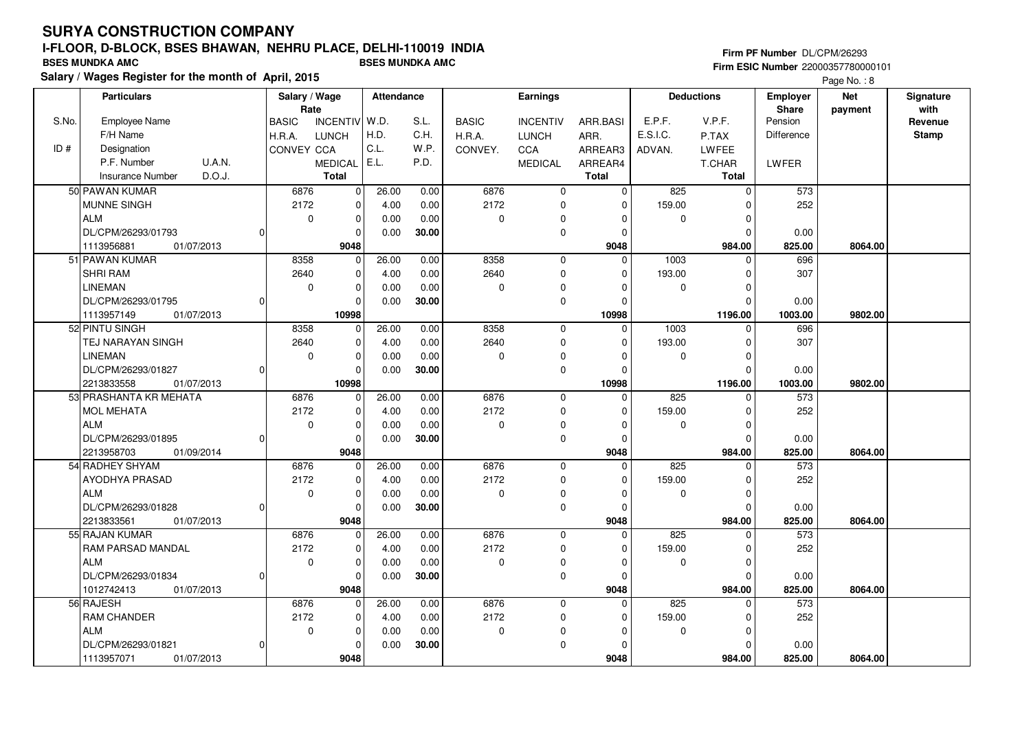#### **Firm PF Number** DL/CPM/26293 **Firm ESIC Number** 22000357780000101

|       | <b>Particulars</b>                |          | Salary / Wage<br>Rate |                 | Attendance |       |              | <b>Earnings</b> |              |             | <b>Deductions</b> | <b>Employer</b><br>Share | <b>Net</b> | Signature<br>with |
|-------|-----------------------------------|----------|-----------------------|-----------------|------------|-------|--------------|-----------------|--------------|-------------|-------------------|--------------------------|------------|-------------------|
| S.No. | Employee Name                     |          | <b>BASIC</b>          | <b>INCENTIV</b> | W.D.       | S.L.  | <b>BASIC</b> | <b>INCENTIV</b> | ARR.BASI     | E.P.F.      | V.P.F.            | Pension                  | payment    | Revenue           |
|       | F/H Name                          |          | H.R.A.                | <b>LUNCH</b>    | H.D.       | C.H.  | H.R.A.       | <b>LUNCH</b>    | ARR.         | E.S.I.C.    | P.TAX             | Difference               |            | <b>Stamp</b>      |
| ID#   | Designation                       |          | <b>CONVEY CCA</b>     |                 | C.L.       | W.P.  | CONVEY.      | CCA             | ARREAR3      | ADVAN.      | LWFEE             |                          |            |                   |
|       | P.F. Number<br><b>U.A.N.</b>      |          |                       | <b>MEDICAL</b>  | E.L.       | P.D.  |              | <b>MEDICAL</b>  | ARREAR4      |             | T.CHAR            | <b>LWFER</b>             |            |                   |
|       | D.O.J.<br><b>Insurance Number</b> |          |                       | <b>Total</b>    |            |       |              |                 | <b>Total</b> |             | Total             |                          |            |                   |
|       | 50 PAWAN KUMAR                    |          | 6876                  | $\mathbf 0$     | 26.00      | 0.00  | 6876         | $\mathbf 0$     | $\mathbf 0$  | 825         | $\mathbf 0$       | 573                      |            |                   |
|       | <b>MUNNE SINGH</b>                |          | 2172                  | $\mathbf 0$     | 4.00       | 0.00  | 2172         | $\mathbf 0$     | $\Omega$     | 159.00      | $\Omega$          | 252                      |            |                   |
|       | <b>ALM</b>                        |          | $\mathbf 0$           | $\mathbf 0$     | 0.00       | 0.00  | 0            | $\Omega$        | 0            | $\mathbf 0$ | $\Omega$          |                          |            |                   |
|       | DL/CPM/26293/01793                |          |                       | $\mathbf 0$     | 0.00       | 30.00 |              | $\mathbf 0$     | 0            |             | $\Omega$          | 0.00                     |            |                   |
|       | 1113956881<br>01/07/2013          |          |                       | 9048            |            |       |              |                 | 9048         |             | 984.00            | 825.00                   | 8064.00    |                   |
|       | 51 PAWAN KUMAR                    |          | 8358                  | $\mathbf 0$     | 26.00      | 0.00  | 8358         | $\mathbf 0$     | $\Omega$     | 1003        | $\Omega$          | 696                      |            |                   |
|       | <b>SHRI RAM</b>                   |          | 2640                  | 0               | 4.00       | 0.00  | 2640         | $\mathbf 0$     | 0            | 193.00      | $\Omega$          | 307                      |            |                   |
|       | <b>LINEMAN</b>                    |          | 0                     | 0               | 0.00       | 0.00  | 0            | $\Omega$        | $\Omega$     | 0           | $\Omega$          |                          |            |                   |
|       | DL/CPM/26293/01795                | $\Omega$ |                       | $\Omega$        | 0.00       | 30.00 |              | $\mathbf 0$     | $\Omega$     |             | $\Omega$          | 0.00                     |            |                   |
|       | 1113957149<br>01/07/2013          |          |                       | 10998           |            |       |              |                 | 10998        |             | 1196.00           | 1003.00                  | 9802.00    |                   |
|       | 52 PINTU SINGH                    |          | 8358                  | $\Omega$        | 26.00      | 0.00  | 8358         | $\mathsf 0$     | $\Omega$     | 1003        | $\mathbf{0}$      | 696                      |            |                   |
|       | <b>TEJ NARAYAN SINGH</b>          |          | 2640                  | $\mathbf 0$     | 4.00       | 0.00  | 2640         | $\mathbf 0$     | $\Omega$     | 193.00      | $\Omega$          | 307                      |            |                   |
|       | <b>LINEMAN</b>                    |          | $\mathbf 0$           | $\mathbf 0$     | 0.00       | 0.00  | 0            | $\mathbf 0$     | $\Omega$     | 0           | $\Omega$          |                          |            |                   |
|       | DL/CPM/26293/01827                | U        |                       | $\Omega$        | 0.00       | 30.00 |              | $\mathbf 0$     | $\Omega$     |             | $\Omega$          | 0.00                     |            |                   |
|       | 2213833558<br>01/07/2013          |          |                       | 10998           |            |       |              |                 | 10998        |             | 1196.00           | 1003.00                  | 9802.00    |                   |
|       | 53 PRASHANTA KR MEHATA            |          | 6876                  | $\mathbf 0$     | 26.00      | 0.00  | 6876         | $\mathbf 0$     | $\Omega$     | 825         | $\mathbf 0$       | 573                      |            |                   |
|       | <b>MOL MEHATA</b>                 |          | 2172                  | $\Omega$        | 4.00       | 0.00  | 2172         | $\mathbf 0$     | $\Omega$     | 159.00      | $\Omega$          | 252                      |            |                   |
|       | <b>ALM</b>                        |          | $\mathbf 0$           | $\mathbf 0$     | 0.00       | 0.00  | 0            | $\mathbf 0$     | $\Omega$     | $\mathbf 0$ | $\Omega$          |                          |            |                   |
|       | DL/CPM/26293/01895                | 0        |                       | 0               | 0.00       | 30.00 |              | $\mathbf 0$     | 0            |             | $\Omega$          | 0.00                     |            |                   |
|       | 2213958703<br>01/09/2014          |          |                       | 9048            |            |       |              |                 | 9048         |             | 984.00            | 825.00                   | 8064.00    |                   |
|       | 54 RADHEY SHYAM                   |          | 6876                  | $\mathbf{0}$    | 26.00      | 0.00  | 6876         | $\mathbf 0$     | $\Omega$     | 825         | $\Omega$          | 573                      |            |                   |
|       | AYODHYA PRASAD                    |          | 2172                  | $\mathbf 0$     | 4.00       | 0.00  | 2172         | $\mathbf 0$     | $\Omega$     | 159.00      | $\Omega$          | 252                      |            |                   |
|       | <b>ALM</b>                        |          | 0                     | 0               | 0.00       | 0.00  | 0            | $\Omega$        | $\Omega$     | 0           | $\Omega$          |                          |            |                   |
|       | DL/CPM/26293/01828                | $\Omega$ |                       | $\mathbf 0$     | 0.00       | 30.00 |              | $\mathbf 0$     | $\mathbf 0$  |             | $\Omega$          | 0.00                     |            |                   |
|       | 2213833561<br>01/07/2013          |          |                       | 9048            |            |       |              |                 | 9048         |             | 984.00            | 825.00                   | 8064.00    |                   |
|       | 55 RAJAN KUMAR                    |          | 6876                  | $\mathbf 0$     | 26.00      | 0.00  | 6876         | $\mathbf 0$     | $\Omega$     | 825         | $\Omega$          | 573                      |            |                   |
|       | <b>RAM PARSAD MANDAL</b>          |          | 2172                  | $\mathbf 0$     | 4.00       | 0.00  | 2172         | $\mathbf 0$     | $\Omega$     | 159.00      | $\Omega$          | 252                      |            |                   |
|       | <b>ALM</b>                        |          | $\mathbf 0$           | $\mathbf 0$     | 0.00       | 0.00  | 0            | 0               | 0            | 0           | $\Omega$          |                          |            |                   |
|       | DL/CPM/26293/01834                | $\Omega$ |                       | 0               | 0.00       | 30.00 |              | $\mathbf 0$     | 0            |             | $\Omega$          | 0.00                     |            |                   |
|       | 1012742413<br>01/07/2013          |          |                       | 9048            |            |       |              |                 | 9048         |             | 984.00            | 825.00                   | 8064.00    |                   |
|       | 56 RAJESH                         |          | 6876                  | $\Omega$        | 26.00      | 0.00  | 6876         | $\mathbf 0$     | $\Omega$     | 825         | $\Omega$          | 573                      |            |                   |
|       | <b>RAM CHANDER</b>                |          | 2172                  | 0               | 4.00       | 0.00  | 2172         | 0               | 0            | 159.00      | $\Omega$          | 252                      |            |                   |
|       | <b>ALM</b>                        |          | $\mathbf 0$           | 0               | 0.00       | 0.00  | 0            | $\Omega$        | $\Omega$     | 0           | $\Omega$          |                          |            |                   |
|       | DL/CPM/26293/01821                | 0        |                       | $\Omega$        | 0.00       | 30.00 |              | $\mathbf 0$     | $\Omega$     |             | $\Omega$          | 0.00                     |            |                   |
|       | 1113957071<br>01/07/2013          |          |                       | 9048            |            |       |              |                 | 9048         |             | 984.00            | 825.00                   | 8064.00    |                   |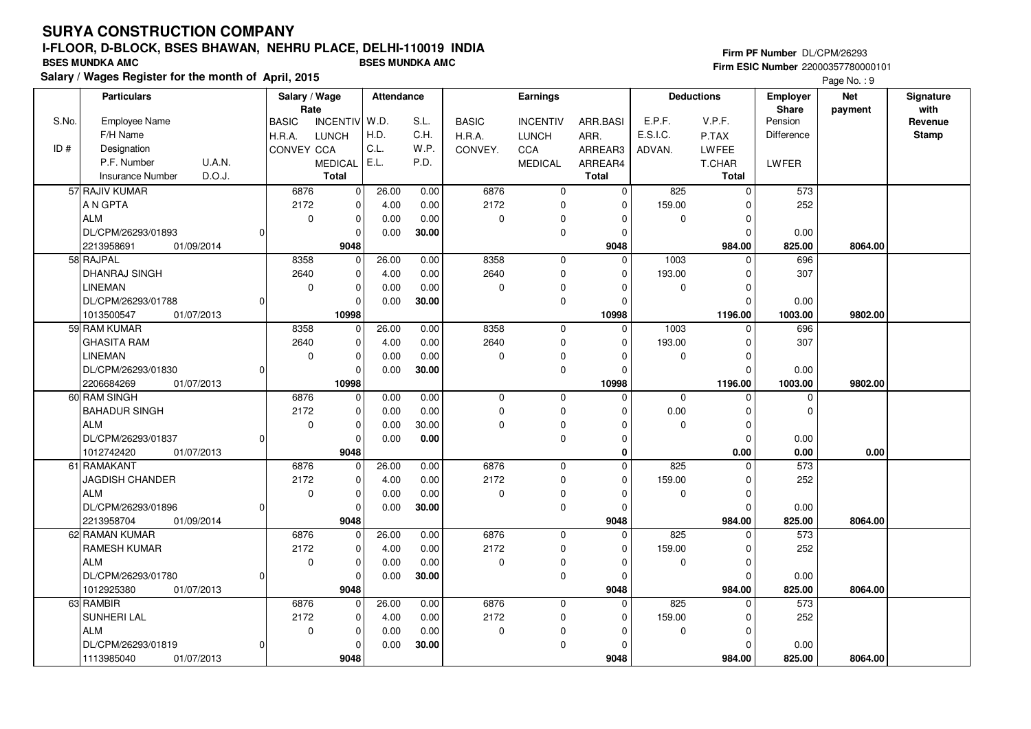#### **Firm PF Number** DL/CPM/26293 **Firm ESIC Number** 22000357780000101

|       | <b>Particulars</b>                |          | Salary / Wage        |                 | <b>Attendance</b> |       |              | Earnings        |              |             | <b>Deductions</b> | <b>Employer</b>   | <b>Net</b> | Signature       |
|-------|-----------------------------------|----------|----------------------|-----------------|-------------------|-------|--------------|-----------------|--------------|-------------|-------------------|-------------------|------------|-----------------|
| S.No. | <b>Employee Name</b>              |          | Rate<br><b>BASIC</b> | <b>INCENTIV</b> | W.D.              | S.L.  | <b>BASIC</b> | <b>INCENTIV</b> | ARR.BASI     | E.P.F.      | V.P.F.            | Share<br>Pension  | payment    | with<br>Revenue |
|       | F/H Name                          |          | H.R.A.               | <b>LUNCH</b>    | H.D.              | C.H.  | H.R.A.       | <b>LUNCH</b>    | ARR.         | E.S.I.C.    | P.TAX             | <b>Difference</b> |            | <b>Stamp</b>    |
| ID#   | Designation                       |          | CONVEY CCA           |                 | C.L.              | W.P.  | CONVEY.      | CCA             | ARREAR3      | ADVAN.      | LWFEE             |                   |            |                 |
|       | P.F. Number<br>U.A.N.             |          |                      | <b>MEDICAL</b>  | E.L.              | P.D.  |              | <b>MEDICAL</b>  | ARREAR4      |             | T.CHAR            | LWFER             |            |                 |
|       | D.O.J.<br><b>Insurance Number</b> |          |                      | <b>Total</b>    |                   |       |              |                 | <b>Total</b> |             | <b>Total</b>      |                   |            |                 |
|       | 57 RAJIV KUMAR                    |          | 6876                 | $\mathbf 0$     | 26.00             | 0.00  | 6876         | $\mathbf 0$     | $\mathbf 0$  | 825         | $\mathbf 0$       | 573               |            |                 |
|       | A N GPTA                          |          | 2172                 | $\mathbf 0$     | 4.00              | 0.00  | 2172         | $\mathbf 0$     | $\mathbf 0$  | 159.00      | $\mathbf 0$       | 252               |            |                 |
|       | <b>ALM</b>                        |          | $\mathbf 0$          | $\mathbf{0}$    | 0.00              | 0.00  | $\mathbf 0$  | $\Omega$        | 0            | $\mathbf 0$ | $\mathbf 0$       |                   |            |                 |
|       | DL/CPM/26293/01893                | $\Omega$ |                      | $\mathbf 0$     | 0.00              | 30.00 |              | $\mathbf 0$     | $\Omega$     |             | $\Omega$          | 0.00              |            |                 |
|       | 2213958691<br>01/09/2014          |          |                      | 9048            |                   |       |              |                 | 9048         |             | 984.00            | 825.00            | 8064.00    |                 |
|       | 58 RAJPAL                         |          | 8358                 | $\Omega$        | 26.00             | 0.00  | 8358         | 0               | $\Omega$     | 1003        | $\Omega$          | 696               |            |                 |
|       | <b>DHANRAJ SINGH</b>              |          | 2640                 | $\mathbf 0$     | 4.00              | 0.00  | 2640         | $\mathbf 0$     | $\Omega$     | 193.00      | $\mathbf 0$       | 307               |            |                 |
|       | <b>LINEMAN</b>                    |          | $\mathbf 0$          | 0               | 0.00              | 0.00  | 0            | $\Omega$        | $\Omega$     | 0           | $\mathbf 0$       |                   |            |                 |
|       | DL/CPM/26293/01788                | 0        |                      | $\mathbf 0$     | 0.00              | 30.00 |              | $\mathbf 0$     | $\Omega$     |             | $\mathbf 0$       | 0.00              |            |                 |
|       | 1013500547<br>01/07/2013          |          |                      | 10998           |                   |       |              |                 | 10998        |             | 1196.00           | 1003.00           | 9802.00    |                 |
|       | 59 RAM KUMAR                      |          | 8358                 | $\overline{0}$  | 26.00             | 0.00  | 8358         | 0               | $\Omega$     | 1003        | $\mathbf 0$       | 696               |            |                 |
|       | <b>GHASITA RAM</b>                |          | 2640                 | $\mathbf 0$     | 4.00              | 0.00  | 2640         | $\mathbf 0$     | 0            | 193.00      | $\mathbf 0$       | 307               |            |                 |
|       | <b>LINEMAN</b>                    |          | $\mathbf 0$          | 0               | 0.00              | 0.00  | $\mathbf 0$  | $\Omega$        | $\Omega$     | 0           | $\mathbf 0$       |                   |            |                 |
|       | DL/CPM/26293/01830                | 0        |                      | $\mathbf 0$     | 0.00              | 30.00 |              | $\mathbf 0$     | $\Omega$     |             | $\Omega$          | 0.00              |            |                 |
|       | 2206684269<br>01/07/2013          |          |                      | 10998           |                   |       |              |                 | 10998        |             | 1196.00           | 1003.00           | 9802.00    |                 |
|       | 60 RAM SINGH                      |          | 6876                 | $\mathbf 0$     | 0.00              | 0.00  | 0            | $\mathbf 0$     | $\Omega$     | $\mathbf 0$ | $\mathbf 0$       | 0                 |            |                 |
|       | <b>BAHADUR SINGH</b>              |          | 2172                 | $\mathbf 0$     | 0.00              | 0.00  | $\Omega$     | $\mathbf 0$     | O            | 0.00        | $\mathbf 0$       | 0                 |            |                 |
|       | <b>ALM</b>                        |          | $\mathbf 0$          | $\mathbf 0$     | 0.00              | 30.00 | 0            | $\mathbf 0$     | $\Omega$     | $\Omega$    | $\mathbf 0$       |                   |            |                 |
|       | DL/CPM/26293/01837                | $\Omega$ |                      | 0               | 0.00              | 0.00  |              | $\mathbf 0$     | $\Omega$     |             | $\mathbf 0$       | 0.00              |            |                 |
|       | 1012742420<br>01/07/2013          |          |                      | 9048            |                   |       |              |                 | $\bf{0}$     |             | 0.00              | 0.00              | 0.00       |                 |
|       | 61 RAMAKANT                       |          | 6876                 | 0               | 26.00             | 0.00  | 6876         | 0               | $\Omega$     | 825         | $\mathbf 0$       | 573               |            |                 |
|       | JAGDISH CHANDER                   |          | 2172                 | $\mathbf 0$     | 4.00              | 0.00  | 2172         | $\mathbf 0$     | $\Omega$     | 159.00      | $\mathbf 0$       | 252               |            |                 |
|       | <b>ALM</b>                        |          | $\mathbf 0$          | $\mathbf 0$     | 0.00              | 0.00  | $\mathbf 0$  | $\Omega$        | $\Omega$     | 0           | $\mathbf 0$       |                   |            |                 |
|       | DL/CPM/26293/01896                | $\Omega$ |                      | $\mathbf 0$     | 0.00              | 30.00 |              | $\mathbf 0$     | $\Omega$     |             | $\mathbf 0$       | 0.00              |            |                 |
|       | 2213958704<br>01/09/2014          |          |                      | 9048            |                   |       |              |                 | 9048         |             | 984.00            | 825.00            | 8064.00    |                 |
|       | 62 RAMAN KUMAR                    |          | 6876                 | $\mathbf{0}$    | 26.00             | 0.00  | 6876         | $\Omega$        | $\Omega$     | 825         | $\Omega$          | 573               |            |                 |
|       | <b>RAMESH KUMAR</b>               |          | 2172                 | $\mathbf{0}$    | 4.00              | 0.00  | 2172         | $\mathbf 0$     | $\Omega$     | 159.00      | $\mathbf 0$       | 252               |            |                 |
|       | <b>ALM</b>                        |          | $\mathbf 0$          | 0               | 0.00              | 0.00  | 0            | 0               | $\Omega$     | 0           | $\mathbf 0$       |                   |            |                 |
|       | DL/CPM/26293/01780                | 0I       |                      | $\mathbf 0$     | 0.00              | 30.00 |              | $\Omega$        | $\Omega$     |             | $\Omega$          | 0.00              |            |                 |
|       | 01/07/2013<br>1012925380          |          |                      | 9048            |                   |       |              |                 | 9048         |             | 984.00            | 825.00            | 8064.00    |                 |
|       | 63 RAMBIR                         |          | 6876                 | $\overline{0}$  | 26.00             | 0.00  | 6876         | $\mathbf 0$     | 0            | 825         | $\mathbf 0$       | 573               |            |                 |
|       | SUNHERI LAL                       |          | 2172                 | 0               | 4.00              | 0.00  | 2172         | 0               | $\Omega$     | 159.00      | $\mathbf 0$       | 252               |            |                 |
|       | ALM                               |          | $\mathbf 0$          | $\mathbf{0}$    | 0.00              | 0.00  | $\Omega$     | $\Omega$        | $\Omega$     | 0           | $\mathbf 0$       |                   |            |                 |
|       | DL/CPM/26293/01819                | 0        |                      | 0               | 0.00              | 30.00 |              | $\mathbf 0$     | $\Omega$     |             | $\Omega$          | 0.00              |            |                 |
|       | 1113985040<br>01/07/2013          |          |                      | 9048            |                   |       |              |                 | 9048         |             | 984.00            | 825.00            | 8064.00    |                 |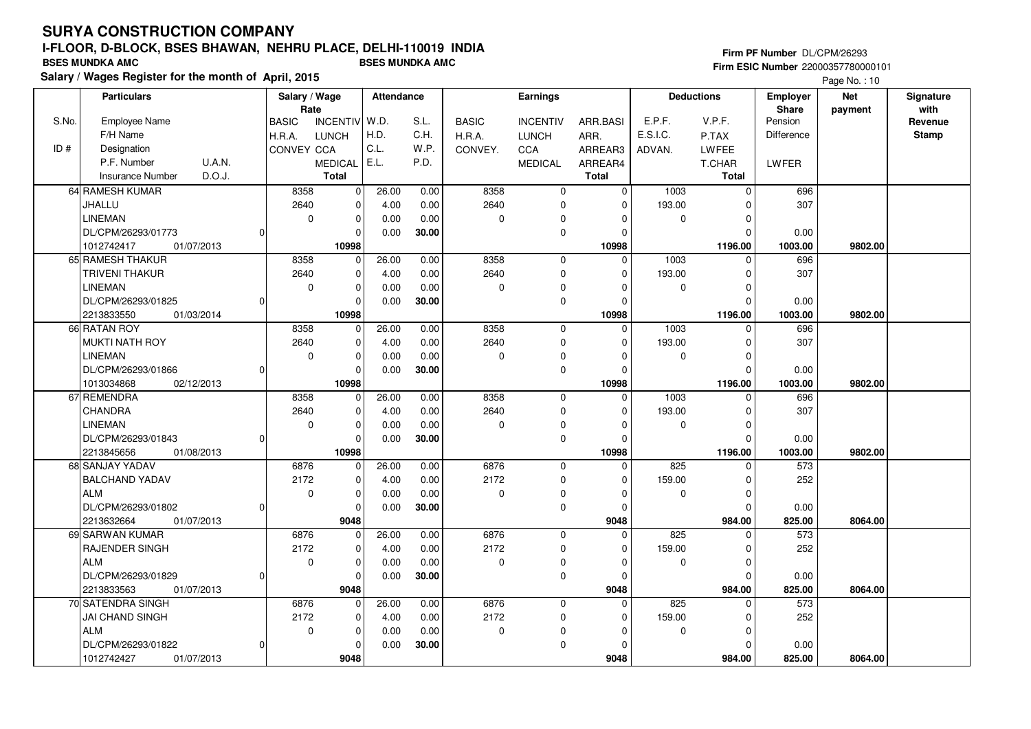#### **Firm PF Number** DL/CPM/26293 **Firm ESIC Number** 22000357780000101

|       | <b>Particulars</b>                |              | Salary / Wage<br>Rate      | <b>Attendance</b> |       |              | <b>Earnings</b> |              |                  | <b>Deductions</b> | Employer<br><b>Share</b> | <b>Net</b><br>payment | Signature<br>with |
|-------|-----------------------------------|--------------|----------------------------|-------------------|-------|--------------|-----------------|--------------|------------------|-------------------|--------------------------|-----------------------|-------------------|
| S.No. | <b>Employee Name</b>              | <b>BASIC</b> | <b>INCENTIV</b>            | W.D.              | S.L.  | <b>BASIC</b> | <b>INCENTIV</b> | ARR.BASI     | E.P.F.           | V.P.F.            | Pension                  |                       | Revenue           |
|       | F/H Name                          | H.R.A.       | <b>LUNCH</b>               | H.D.              | C.H.  | H.R.A.       | <b>LUNCH</b>    | ARR.         | E.S.I.C.         | P.TAX             | Difference               |                       | <b>Stamp</b>      |
| ID#   | Designation                       | CONVEY CCA   |                            | C.L.              | W.P.  | CONVEY.      | CCA             | ARREAR3      | ADVAN.           | LWFEE             |                          |                       |                   |
|       | U.A.N.<br>P.F. Number             |              | <b>MEDICAL</b>             | E.L.              | P.D.  |              | <b>MEDICAL</b>  | ARREAR4      |                  | <b>T.CHAR</b>     | <b>LWFER</b>             |                       |                   |
|       | D.O.J.<br><b>Insurance Number</b> |              | <b>Total</b>               |                   |       |              |                 | <b>Total</b> |                  | Total             |                          |                       |                   |
|       | 64 RAMESH KUMAR                   | 8358         | $\mathbf 0$                | 26.00             | 0.00  | 8358         | $\mathbf 0$     | $\mathbf 0$  | $\frac{1003}{2}$ | $\mathbf 0$       | 696                      |                       |                   |
|       | JHALLU                            | 2640         | $\pmb{0}$                  | 4.00              | 0.00  | 2640         | $\mathbf 0$     | $\Omega$     | 193.00           | $\Omega$          | 307                      |                       |                   |
|       | <b>LINEMAN</b>                    |              | $\mathbf 0$<br>$\mathbf 0$ | 0.00              | 0.00  | 0            | $\mathbf 0$     | $\Omega$     | 0                | $\Omega$          |                          |                       |                   |
|       | DL/CPM/26293/01773                |              | $\Omega$                   | 0.00              | 30.00 |              | $\mathbf 0$     | $\Omega$     |                  | $\Omega$          | 0.00                     |                       |                   |
|       | 1012742417<br>01/07/2013          |              | 10998                      |                   |       |              |                 | 10998        |                  | 1196.00           | 1003.00                  | 9802.00               |                   |
|       | 65 RAMESH THAKUR                  | 8358         | $\Omega$                   | 26.00             | 0.00  | 8358         | $\mathbf 0$     | $\Omega$     | 1003             | $\Omega$          | 696                      |                       |                   |
|       | TRIVENI THAKUR                    | 2640         | $\mathbf 0$                | 4.00              | 0.00  | 2640         | $\mathbf 0$     | $\mathbf 0$  | 193.00           | $\Omega$          | 307                      |                       |                   |
|       | <b>LINEMAN</b>                    |              | $\Omega$<br>0              | 0.00              | 0.00  | 0            | $\Omega$        | $\Omega$     | 0                | $\Omega$          |                          |                       |                   |
|       | DL/CPM/26293/01825                |              | $\Omega$                   | 0.00              | 30.00 |              | $\mathbf 0$     | $\Omega$     |                  | $\Omega$          | 0.00                     |                       |                   |
|       | 2213833550<br>01/03/2014          |              | 10998                      |                   |       |              |                 | 10998        |                  | 1196.00           | 1003.00                  | 9802.00               |                   |
|       | 66 RATAN ROY                      | 8358         | $\mathbf 0$                | 26.00             | 0.00  | 8358         | $\mathsf 0$     | $\Omega$     | 1003             | $\Omega$          | 696                      |                       |                   |
|       | <b>MUKTI NATH ROY</b>             | 2640         | $\mathbf 0$                | 4.00              | 0.00  | 2640         | $\mathbf 0$     | $\mathbf 0$  | 193.00           | $\Omega$          | 307                      |                       |                   |
|       | <b>LINEMAN</b>                    |              | $\mathbf 0$<br>0           | 0.00              | 0.00  | 0            | $\mathbf 0$     | $\Omega$     | 0                | $\Omega$          |                          |                       |                   |
|       | DL/CPM/26293/01866                |              | $\Omega$                   | 0.00              | 30.00 |              | $\pmb{0}$       | $\Omega$     |                  | $\Omega$          | 0.00                     |                       |                   |
|       | 1013034868<br>02/12/2013          |              | 10998                      |                   |       |              |                 | 10998        |                  | 1196.00           | 1003.00                  | 9802.00               |                   |
|       | 67 REMENDRA                       | 8358         | $\mathbf 0$                | 26.00             | 0.00  | 8358         | $\mathbf 0$     | $\mathbf 0$  | 1003             | $\Omega$          | 696                      |                       |                   |
|       | CHANDRA                           | 2640         | $\Omega$                   | 4.00              | 0.00  | 2640         | $\pmb{0}$       | $\Omega$     | 193.00           | $\Omega$          | 307                      |                       |                   |
|       | <b>LINEMAN</b>                    |              | 0<br>$\Omega$              | 0.00              | 0.00  | 0            | $\pmb{0}$       | $\Omega$     | 0                | $\Omega$          |                          |                       |                   |
|       | DL/CPM/26293/01843                |              | $\Omega$                   | 0.00              | 30.00 |              | $\mathbf 0$     | $\Omega$     |                  | $\Omega$          | 0.00                     |                       |                   |
|       | 2213845656<br>01/08/2013          |              | 10998                      |                   |       |              |                 | 10998        |                  | 1196.00           | 1003.00                  | 9802.00               |                   |
|       | 68 SANJAY YADAV                   | 6876         | $\mathbf 0$                | 26.00             | 0.00  | 6876         | $\mathbf 0$     | $\Omega$     | 825              | $\Omega$          | 573                      |                       |                   |
|       | <b>BALCHAND YADAV</b>             | 2172         | $\mathbf 0$                | 4.00              | 0.00  | 2172         | $\mathbf 0$     | $\Omega$     | 159.00           | $\Omega$          | 252                      |                       |                   |
|       | <b>ALM</b>                        |              | $\mathbf 0$<br>0           | 0.00              | 0.00  | 0            | 0               | $\Omega$     | 0                | $\Omega$          |                          |                       |                   |
|       | DL/CPM/26293/01802                |              | $\mathbf 0$                | 0.00              | 30.00 |              | $\mathbf 0$     | $\mathbf 0$  |                  | $\Omega$          | 0.00                     |                       |                   |
|       | 2213632664<br>01/07/2013          |              | 9048                       |                   |       |              |                 | 9048         |                  | 984.00            | 825.00                   | 8064.00               |                   |
|       | 69 SARWAN KUMAR                   | 6876         | $\mathbf 0$                | 26.00             | 0.00  | 6876         | $\mathbf 0$     | 0            | 825              | $\Omega$          | 573                      |                       |                   |
|       | <b>RAJENDER SINGH</b>             | 2172         | $\Omega$                   | 4.00              | 0.00  | 2172         | $\mathbf 0$     | $\Omega$     | 159.00           | $\Omega$          | 252                      |                       |                   |
|       | <b>ALM</b>                        |              | $\mathbf 0$<br>$\mathbf 0$ | 0.00              | 0.00  | 0            | $\pmb{0}$       | 0            | 0                | $\Omega$          |                          |                       |                   |
|       | DL/CPM/26293/01829                |              | $\Omega$                   | 0.00              | 30.00 |              | $\mathbf 0$     | 0            |                  | $\Omega$          | 0.00                     |                       |                   |
|       | 2213833563<br>01/07/2013          |              | 9048                       |                   |       |              |                 | 9048         |                  | 984.00            | 825.00                   | 8064.00               |                   |
|       | 70 SATENDRA SINGH                 | 6876         | $\Omega$                   | 26.00             | 0.00  | 6876         | $\mathbf 0$     | $\Omega$     | 825              | $\Omega$          | 573                      |                       |                   |
|       | JAI CHAND SINGH                   | 2172         | $\mathbf 0$                | 4.00              | 0.00  | 2172         | $\pmb{0}$       | 0            | 159.00           | 0                 | 252                      |                       |                   |
|       | <b>ALM</b>                        |              | $\mathbf 0$<br>0           | 0.00              | 0.00  | 0            | $\mathbf 0$     | $\Omega$     | 0                | $\Omega$          |                          |                       |                   |
|       | DL/CPM/26293/01822                |              | $\Omega$                   | 0.00              | 30.00 |              | $\mathbf 0$     | $\Omega$     |                  | $\Omega$          | 0.00                     |                       |                   |
|       | 01/07/2013<br>1012742427          |              | 9048                       |                   |       |              |                 | 9048         |                  | 984.00            | 825.00                   | 8064.00               |                   |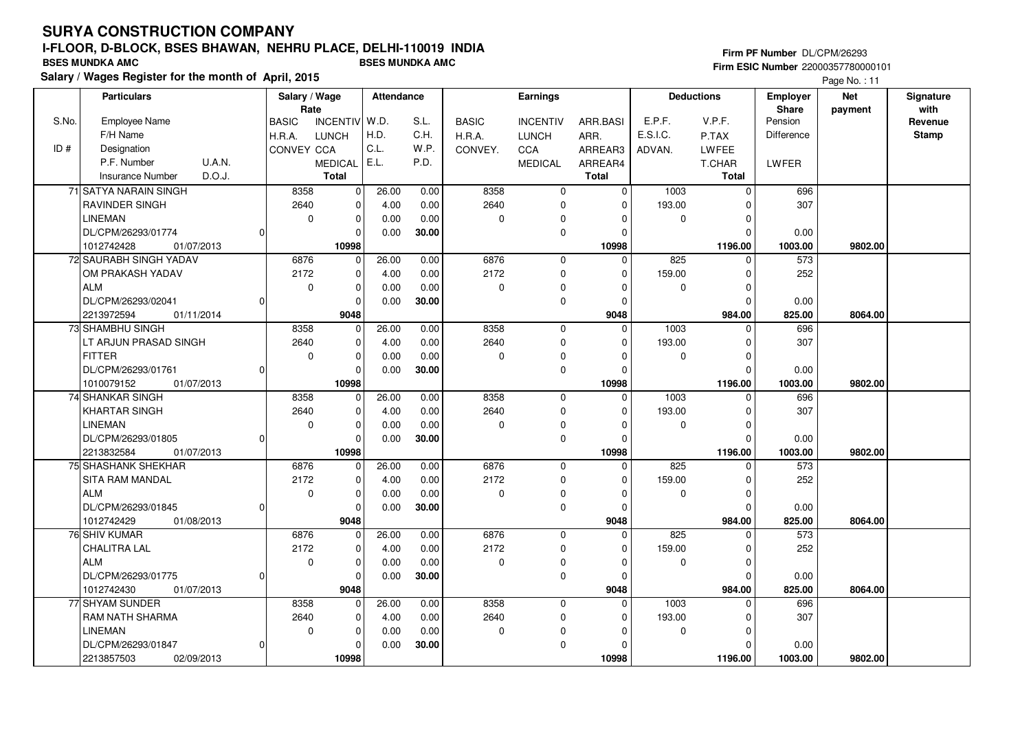#### **Firm PF Number** DL/CPM/26293 **Firm ESIC Number** 22000357780000101

|       | <b>Particulars</b>                |              | Salary / Wage              | Attendance |       |              | Earnings        |                |          | <b>Deductions</b> | <b>Employer</b>         | <b>Net</b> | Signature       |
|-------|-----------------------------------|--------------|----------------------------|------------|-------|--------------|-----------------|----------------|----------|-------------------|-------------------------|------------|-----------------|
| S.No. | <b>Employee Name</b>              | <b>BASIC</b> | Rate<br><b>INCENTIV</b>    | W.D.       | S.L.  | <b>BASIC</b> | <b>INCENTIV</b> | ARR.BASI       | E.P.F.   | V.P.F.            | <b>Share</b><br>Pension | payment    | with<br>Revenue |
|       | F/H Name                          | H.R.A.       | <b>LUNCH</b>               | H.D.       | C.H.  | H.R.A.       | <b>LUNCH</b>    | ARR.           | E.S.I.C. | P.TAX             | Difference              |            | <b>Stamp</b>    |
| ID#   | Designation                       | CONVEY CCA   |                            | C.L.       | W.P.  | CONVEY.      | CCA             | ARREAR3        | ADVAN.   | <b>LWFEE</b>      |                         |            |                 |
|       | P.F. Number<br><b>U.A.N.</b>      |              | <b>MEDICAL</b>             | E.L.       | P.D.  |              | <b>MEDICAL</b>  | ARREAR4        |          | <b>T.CHAR</b>     | LWFER                   |            |                 |
|       | D.O.J.<br><b>Insurance Number</b> |              | <b>Total</b>               |            |       |              |                 | Total          |          | <b>Total</b>      |                         |            |                 |
|       | 71 SATYA NARAIN SINGH             |              | 8358<br>$\Omega$           | 26.00      | 0.00  | 8358         |                 | $\overline{0}$ | 1003     | $\mathbf 0$       | 696                     |            |                 |
|       | RAVINDER SINGH                    |              |                            |            |       |              | $\mathbf 0$     |                |          |                   | 307                     |            |                 |
|       | <b>LINEMAN</b>                    |              | 2640<br>0                  | 4.00       | 0.00  | 2640         | 0               | $\mathbf 0$    | 193.00   | $\Omega$          |                         |            |                 |
|       |                                   |              | $\mathbf 0$<br>$\Omega$    | 0.00       | 0.00  | 0            | $\Omega$        | O              | 0        | $\Omega$          |                         |            |                 |
|       | DL/CPM/26293/01774                |              | $\Omega$                   | 0.00       | 30.00 |              | $\mathbf 0$     | $\Omega$       |          | $\Omega$          | 0.00                    |            |                 |
|       | 1012742428<br>01/07/2013          |              | 10998                      |            |       |              |                 | 10998          |          | 1196.00           | 1003.00                 | 9802.00    |                 |
|       | 72 SAURABH SINGH YADAV            |              | 6876<br>$\mathbf 0$        | 26.00      | 0.00  | 6876         | $\mathbf 0$     | $\Omega$       | 825      | $\Omega$          | $\overline{573}$        |            |                 |
|       | OM PRAKASH YADAV                  |              | 2172<br>$\mathbf 0$        | 4.00       | 0.00  | 2172         | $\mathbf 0$     | $\mathbf 0$    | 159.00   | $\Omega$          | 252                     |            |                 |
|       | <b>ALM</b>                        |              | $\mathbf 0$<br>0           | 0.00       | 0.00  | 0            | 0               | $\Omega$       | 0        | $\Omega$          |                         |            |                 |
|       | DL/CPM/26293/02041                |              | $\Omega$                   | 0.00       | 30.00 |              | $\mathbf 0$     | $\Omega$       |          | $\Omega$          | 0.00                    |            |                 |
|       | 2213972594<br>01/11/2014          |              | 9048                       |            |       |              |                 | 9048           |          | 984.00            | 825.00                  | 8064.00    |                 |
|       | 73 SHAMBHU SINGH                  |              | 8358<br>0                  | 26.00      | 0.00  | 8358         | $\mathbf 0$     | $\mathbf 0$    | 1003     | $\Omega$          | 696                     |            |                 |
|       | LT ARJUN PRASAD SINGH             |              | 2640<br>$\Omega$           | 4.00       | 0.00  | 2640         | $\mathbf 0$     | $\Omega$       | 193.00   | $\Omega$          | 307                     |            |                 |
|       | <b>FITTER</b>                     |              | $\mathbf 0$<br>0           | 0.00       | 0.00  | 0            | $\mathbf 0$     | $\Omega$       | 0        | $\Omega$          |                         |            |                 |
|       | DL/CPM/26293/01761                |              | $\Omega$                   | 0.00       | 30.00 |              | $\mathbf{0}$    | $\Omega$       |          | $\Omega$          | 0.00                    |            |                 |
|       | 1010079152<br>01/07/2013          |              | 10998                      |            |       |              |                 | 10998          |          | 1196.00           | 1003.00                 | 9802.00    |                 |
|       | 74 SHANKAR SINGH                  |              | 8358<br>0                  | 26.00      | 0.00  | 8358         | $\mathbf 0$     | $\mathbf 0$    | 1003     | 0                 | 696                     |            |                 |
|       | <b>KHARTAR SINGH</b>              |              | $\Omega$<br>2640           | 4.00       | 0.00  | 2640         | $\mathbf 0$     | $\Omega$       | 193.00   | $\Omega$          | 307                     |            |                 |
|       | <b>LINEMAN</b>                    |              | 0<br>$\Omega$              | 0.00       | 0.00  | 0            | $\mathbf 0$     | $\Omega$       | 0        | $\Omega$          |                         |            |                 |
|       | DL/CPM/26293/01805                |              | $\Omega$                   | 0.00       | 30.00 |              | $\mathbf 0$     | $\Omega$       |          | $\Omega$          | 0.00                    |            |                 |
|       | 2213832584<br>01/07/2013          |              | 10998                      |            |       |              |                 | 10998          |          | 1196.00           | 1003.00                 | 9802.00    |                 |
|       | 75 SHASHANK SHEKHAR               |              | 6876<br>$\mathbf 0$        | 26.00      | 0.00  | 6876         | $\mathbf 0$     | $\Omega$       | 825      | $\Omega$          | 573                     |            |                 |
|       | <b>SITA RAM MANDAL</b>            |              | 2172<br>$\Omega$           | 4.00       | 0.00  | 2172         | $\mathbf 0$     | $\Omega$       | 159.00   | $\Omega$          | 252                     |            |                 |
|       | <b>ALM</b>                        |              | $\mathbf 0$<br>0           | 0.00       | 0.00  | 0            | $\mathbf 0$     | 0              | 0        | $\Omega$          |                         |            |                 |
|       | DL/CPM/26293/01845                |              | $\mathbf 0$                | 0.00       | 30.00 |              | $\mathbf 0$     | 0              |          | $\Omega$          | 0.00                    |            |                 |
|       | 1012742429<br>01/08/2013          |              | 9048                       |            |       |              |                 | 9048           |          | 984.00            | 825.00                  | 8064.00    |                 |
|       | 76 SHIV KUMAR                     |              | 6876<br>$\Omega$           | 26.00      | 0.00  | 6876         | $\mathbf{0}$    | $\Omega$       | 825      | $\Omega$          | 573                     |            |                 |
|       | <b>CHALITRA LAL</b>               |              | 2172<br>$\Omega$           | 4.00       | 0.00  | 2172         | $\mathbf 0$     | $\Omega$       | 159.00   | $\Omega$          | 252                     |            |                 |
|       | <b>ALM</b>                        |              | $\mathbf 0$<br>$\mathbf 0$ | 0.00       | 0.00  | 0            | $\mathbf 0$     | 0              | 0        | $\Omega$          |                         |            |                 |
|       | DL/CPM/26293/01775                |              | $\Omega$                   | 0.00       | 30.00 |              | $\mathbf 0$     | $\Omega$       |          | $\Omega$          | 0.00                    |            |                 |
|       | 1012742430<br>01/07/2013          |              | 9048                       |            |       |              |                 | 9048           |          | 984.00            | 825.00                  | 8064.00    |                 |
|       | 77 SHYAM SUNDER                   |              | 8358<br>$\Omega$           | 26.00      | 0.00  | 8358         | $\mathbf 0$     | $\Omega$       | 1003     | $\Omega$          | 696                     |            |                 |
|       | RAM NATH SHARMA                   |              | 2640<br>$\mathbf 0$        | 4.00       | 0.00  | 2640         | $\mathbf 0$     | 0              | 193.00   | 0                 | 307                     |            |                 |
|       | <b>LINEMAN</b>                    |              | $\mathbf 0$<br>0           | 0.00       | 0.00  | $\mathbf 0$  | $\Omega$        | $\Omega$       | 0        | 0                 |                         |            |                 |
|       | DL/CPM/26293/01847                |              | $\Omega$                   | 0.00       | 30.00 |              | $\mathbf 0$     | $\Omega$       |          | $\Omega$          | 0.00                    |            |                 |
|       | 2213857503<br>02/09/2013          |              | 10998                      |            |       |              |                 | 10998          |          | 1196.00           | 1003.00                 | 9802.00    |                 |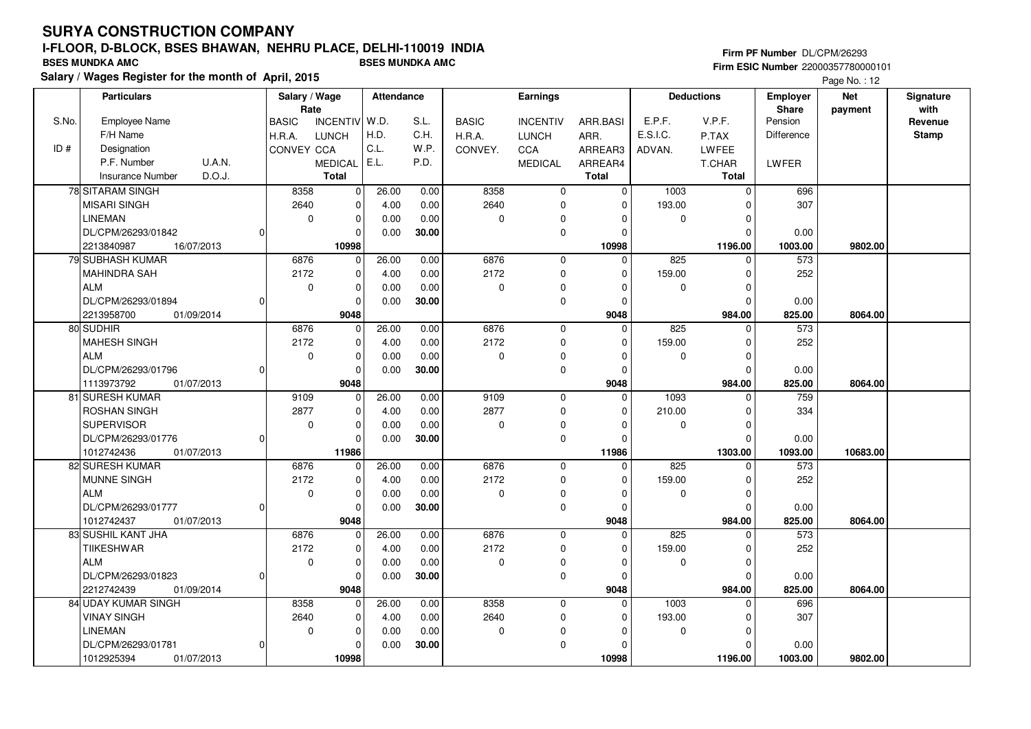#### **Firm PF Number** DL/CPM/26293 **Firm ESIC Number** 22000357780000101

|       | <b>Particulars</b>                |          | Salary / Wage<br>Rate |                 | Attendance |       |              | <b>Earnings</b> |              |                  | <b>Deductions</b> | <b>Employer</b><br>Share | <b>Net</b> | Signature<br>with |
|-------|-----------------------------------|----------|-----------------------|-----------------|------------|-------|--------------|-----------------|--------------|------------------|-------------------|--------------------------|------------|-------------------|
| S.No. | Employee Name                     |          | <b>BASIC</b>          | <b>INCENTIV</b> | W.D.       | S.L.  | <b>BASIC</b> | <b>INCENTIV</b> | ARR.BASI     | E.P.F.           | V.P.F.            | Pension                  | payment    | Revenue           |
|       | F/H Name                          |          | H.R.A.                | <b>LUNCH</b>    | H.D.       | C.H.  | H.R.A.       | <b>LUNCH</b>    | ARR.         | E.S.I.C.         | P.TAX             | Difference               |            | <b>Stamp</b>      |
| ID#   | Designation                       |          | <b>CONVEY CCA</b>     |                 | C.L.       | W.P.  | CONVEY.      | CCA             | ARREAR3      | ADVAN.           | LWFEE             |                          |            |                   |
|       | P.F. Number<br><b>U.A.N.</b>      |          |                       | <b>MEDICAL</b>  | E.L.       | P.D.  |              | <b>MEDICAL</b>  | ARREAR4      |                  | T.CHAR            | <b>LWFER</b>             |            |                   |
|       | D.O.J.<br><b>Insurance Number</b> |          |                       | <b>Total</b>    |            |       |              |                 | <b>Total</b> |                  | Total             |                          |            |                   |
|       | 78 SITARAM SINGH                  |          | 8358                  | 0               | 26.00      | 0.00  | 8358         | $\mathbf 0$     | $\mathbf 0$  | $\frac{1003}{x}$ | $\mathbf 0$       | 696                      |            |                   |
|       | <b>MISARI SINGH</b>               |          | 2640                  | $\mathbf 0$     | 4.00       | 0.00  | 2640         | $\mathbf 0$     | $\Omega$     | 193.00           | $\Omega$          | 307                      |            |                   |
|       | <b>LINEMAN</b>                    |          | $\mathbf 0$           | $\mathbf 0$     | 0.00       | 0.00  | 0            | $\Omega$        | 0            | $\mathbf 0$      | $\Omega$          |                          |            |                   |
|       | DL/CPM/26293/01842                |          |                       | $\mathbf 0$     | 0.00       | 30.00 |              | $\mathbf 0$     | 0            |                  | $\Omega$          | 0.00                     |            |                   |
|       | 2213840987<br>16/07/2013          |          |                       | 10998           |            |       |              |                 | 10998        |                  | 1196.00           | 1003.00                  | 9802.00    |                   |
|       | 79 SUBHASH KUMAR                  |          | 6876                  | $\mathbf 0$     | 26.00      | 0.00  | 6876         | $\mathbf 0$     | $\Omega$     | 825              | $\Omega$          | 573                      |            |                   |
|       | <b>MAHINDRA SAH</b>               |          | 2172                  | 0               | 4.00       | 0.00  | 2172         | $\mathbf 0$     | 0            | 159.00           | $\Omega$          | 252                      |            |                   |
|       | <b>ALM</b>                        |          | $\mathbf 0$           | 0               | 0.00       | 0.00  | 0            | $\Omega$        | $\Omega$     | 0                | $\Omega$          |                          |            |                   |
|       | DL/CPM/26293/01894                | $\Omega$ |                       | $\mathbf 0$     | 0.00       | 30.00 |              | $\mathbf 0$     | $\mathbf 0$  |                  | $\Omega$          | 0.00                     |            |                   |
|       | 2213958700<br>01/09/2014          |          |                       | 9048            |            |       |              |                 | 9048         |                  | 984.00            | 825.00                   | 8064.00    |                   |
|       | 80 SUDHIR                         |          | 6876                  | $\Omega$        | 26.00      | 0.00  | 6876         | $\mathsf 0$     | $\Omega$     | 825              | $\Omega$          | $\frac{1}{573}$          |            |                   |
|       | <b>MAHESH SINGH</b>               |          | 2172                  | $\mathbf 0$     | 4.00       | 0.00  | 2172         | $\mathbf 0$     | $\mathbf 0$  | 159.00           | $\Omega$          | 252                      |            |                   |
|       | <b>ALM</b>                        |          | 0                     | $\mathbf 0$     | 0.00       | 0.00  | 0            | $\mathbf 0$     | $\Omega$     | 0                | $\mathbf 0$       |                          |            |                   |
|       | DL/CPM/26293/01796                | U        |                       | $\Omega$        | 0.00       | 30.00 |              | $\mathbf 0$     | $\Omega$     |                  | $\Omega$          | 0.00                     |            |                   |
|       | 1113973792<br>01/07/2013          |          |                       | 9048            |            |       |              |                 | 9048         |                  | 984.00            | 825.00                   | 8064.00    |                   |
|       | 81 SURESH KUMAR                   |          | 9109                  | $\mathbf 0$     | 26.00      | 0.00  | 9109         | $\mathbf 0$     | $\Omega$     | 1093             | $\Omega$          | 759                      |            |                   |
|       | <b>ROSHAN SINGH</b>               |          | 2877                  | $\mathbf 0$     | 4.00       | 0.00  | 2877         | $\mathbf 0$     | $\Omega$     | 210.00           | $\Omega$          | 334                      |            |                   |
|       | <b>SUPERVISOR</b>                 |          | $\mathbf 0$           | $\mathbf 0$     | 0.00       | 0.00  | 0            | $\mathbf 0$     | $\Omega$     | $\mathbf 0$      | $\Omega$          |                          |            |                   |
|       | DL/CPM/26293/01776                | $\Omega$ |                       | $\mathbf 0$     | 0.00       | 30.00 |              | $\mathbf 0$     | $\Omega$     |                  | $\Omega$          | 0.00                     |            |                   |
|       | 1012742436<br>01/07/2013          |          |                       | 11986           |            |       |              |                 | 11986        |                  | 1303.00           | 1093.00                  | 10683.00   |                   |
|       | 82 SURESH KUMAR                   |          | 6876                  | $\mathbf 0$     | 26.00      | 0.00  | 6876         | $\mathbf 0$     | $\Omega$     | 825              | $\Omega$          | 573                      |            |                   |
|       | <b>MUNNE SINGH</b>                |          | 2172                  | $\mathbf 0$     | 4.00       | 0.00  | 2172         | $\mathbf 0$     | $\Omega$     | 159.00           | $\Omega$          | 252                      |            |                   |
|       | <b>ALM</b>                        |          | 0                     | 0               | 0.00       | 0.00  | 0            | 0               | $\Omega$     | 0                | $\Omega$          |                          |            |                   |
|       | DL/CPM/26293/01777                | $\Omega$ |                       | $\mathbf 0$     | 0.00       | 30.00 |              | $\mathbf 0$     | $\mathbf 0$  |                  | $\Omega$          | 0.00                     |            |                   |
|       | 1012742437<br>01/07/2013          |          |                       | 9048            |            |       |              |                 | 9048         |                  | 984.00            | 825.00                   | 8064.00    |                   |
|       | 83 SUSHIL KANT JHA                |          | 6876                  | $\mathbf 0$     | 26.00      | 0.00  | 6876         | $\mathbf 0$     | $\Omega$     | 825              | $\Omega$          | 573                      |            |                   |
|       | <b>TIIKESHWAR</b>                 |          | 2172                  | $\mathbf 0$     | 4.00       | 0.00  | 2172         | $\mathbf 0$     | $\Omega$     | 159.00           | $\Omega$          | 252                      |            |                   |
|       | <b>ALM</b>                        |          | $\mathbf 0$           | $\mathbf 0$     | 0.00       | 0.00  | 0            | 0               | 0            | 0                | $\Omega$          |                          |            |                   |
|       | DL/CPM/26293/01823                | $\Omega$ |                       | 0               | 0.00       | 30.00 |              | $\mathbf 0$     | 0            |                  | $\Omega$          | 0.00                     |            |                   |
|       | 2212742439<br>01/09/2014          |          |                       | 9048            |            |       |              |                 | 9048         |                  | 984.00            | 825.00                   | 8064.00    |                   |
|       | 84 UDAY KUMAR SINGH               |          | 8358                  | $\Omega$        | 26.00      | 0.00  | 8358         | $\mathbf 0$     | $\Omega$     | 1003             | $\Omega$          | 696                      |            |                   |
|       | <b>VINAY SINGH</b>                |          | 2640                  | 0               | 4.00       | 0.00  | 2640         | 0               | 0            | 193.00           | $\Omega$          | 307                      |            |                   |
|       | <b>LINEMAN</b>                    |          | 0                     | 0               | 0.00       | 0.00  | 0            | $\Omega$        | $\Omega$     | 0                | $\Omega$          |                          |            |                   |
|       | DL/CPM/26293/01781                | 0        |                       | $\Omega$        | 0.00       | 30.00 |              | $\mathbf 0$     | $\Omega$     |                  | $\Omega$          | 0.00                     |            |                   |
|       | 1012925394<br>01/07/2013          |          |                       | 10998           |            |       |              |                 | 10998        |                  | 1196.00           | 1003.00                  | 9802.00    |                   |